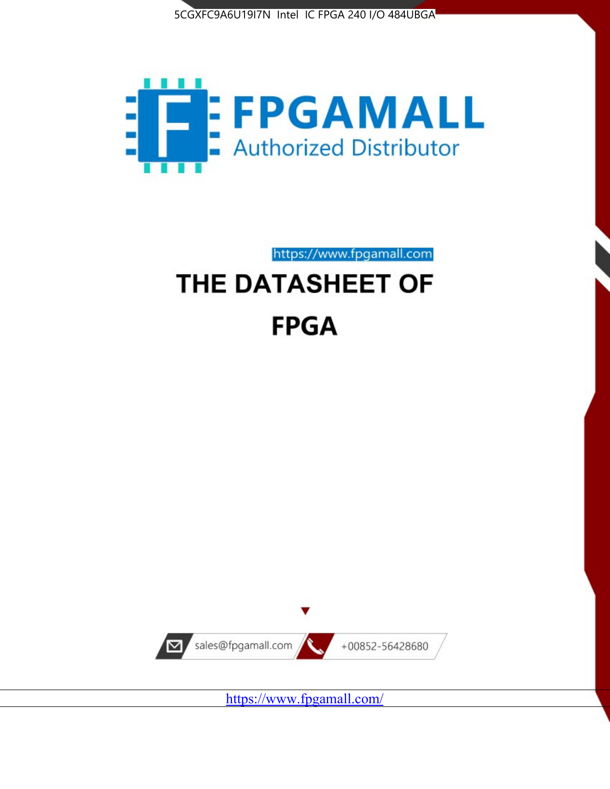



https://www.fpgamall.com

# THE DATASHEET OF **FPGA**



<https://www.fpgamall.com/>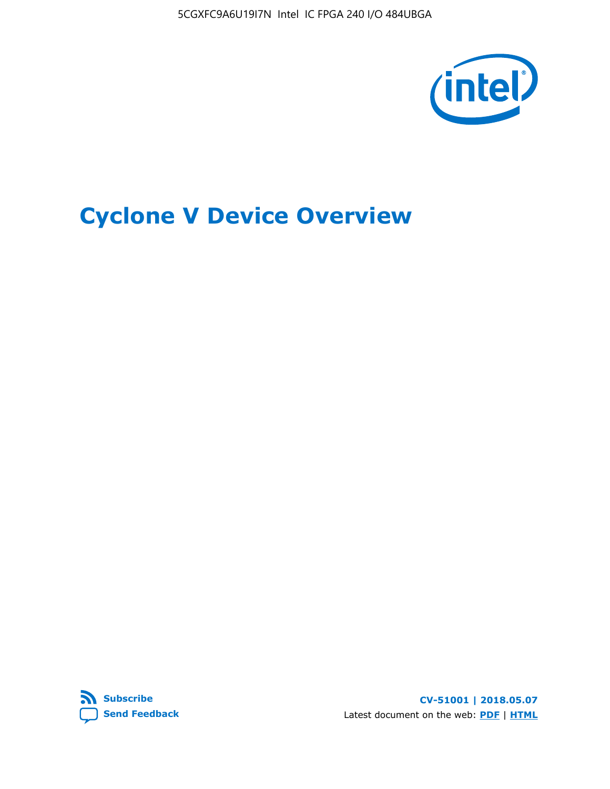5CGXFC9A6U19I7N Intel IC FPGA 240 I/O 484UBGA



# **Cyclone V Device Overview**



**CV-51001 | 2018.05.07** Latest document on the web: **[PDF](https://www.altera.com/en_US/pdfs/literature/hb/cyclone-v/cv_51001.pdf)** | **[HTML](https://www.altera.com/documentation/sam1403480548153.html)**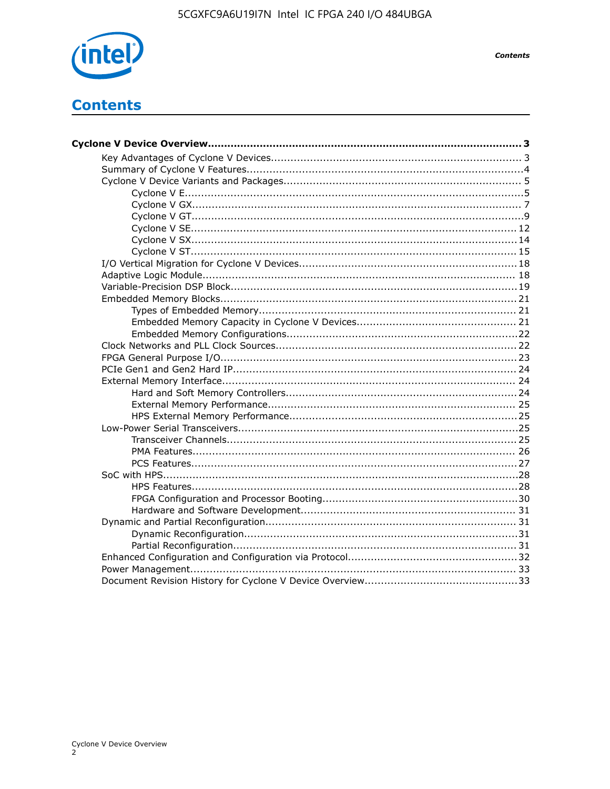

**Contents** 

# **Contents**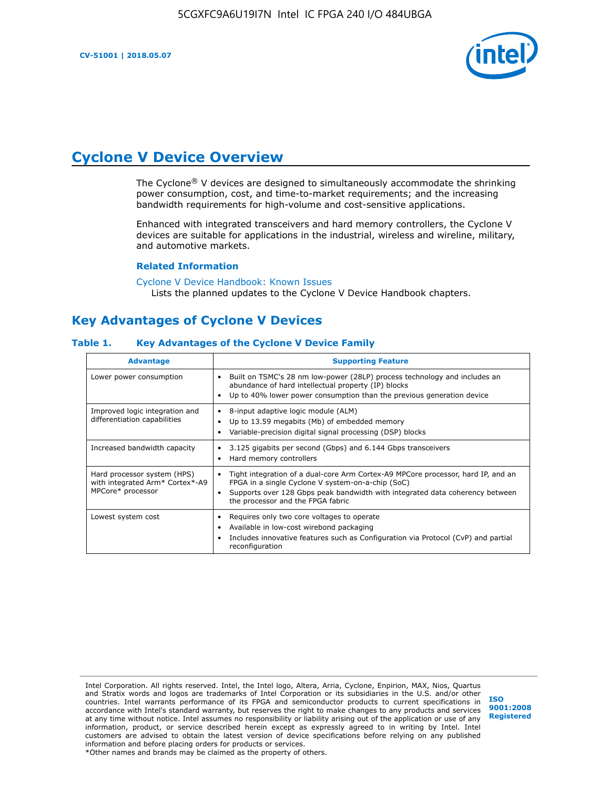

# **Cyclone V Device Overview**

The Cyclone® V devices are designed to simultaneously accommodate the shrinking power consumption, cost, and time-to-market requirements; and the increasing bandwidth requirements for high-volume and cost-sensitive applications.

Enhanced with integrated transceivers and hard memory controllers, the Cyclone V devices are suitable for applications in the industrial, wireless and wireline, military, and automotive markets.

#### **Related Information**

[Cyclone V Device Handbook: Known Issues](https://www.altera.com/support/support-resources/knowledge-base/solutions/rd12152011_347.html) Lists the planned updates to the Cyclone V Device Handbook chapters.

# **Key Advantages of Cyclone V Devices**

#### **Table 1. Key Advantages of the Cyclone V Device Family**

| <b>Advantage</b>                                                                    | <b>Supporting Feature</b>                                                                                                                                                                                                                                                    |
|-------------------------------------------------------------------------------------|------------------------------------------------------------------------------------------------------------------------------------------------------------------------------------------------------------------------------------------------------------------------------|
| Lower power consumption                                                             | Built on TSMC's 28 nm low-power (28LP) process technology and includes an<br>٠<br>abundance of hard intellectual property (IP) blocks<br>Up to 40% lower power consumption than the previous generation device<br>٠                                                          |
| Improved logic integration and<br>differentiation capabilities                      | 8-input adaptive logic module (ALM)<br>٠<br>Up to 13.59 megabits (Mb) of embedded memory<br>٠<br>Variable-precision digital signal processing (DSP) blocks<br>٠                                                                                                              |
| Increased bandwidth capacity                                                        | 3.125 gigabits per second (Gbps) and 6.144 Gbps transceivers<br>٠<br>Hard memory controllers<br>٠                                                                                                                                                                            |
| Hard processor system (HPS)<br>with integrated Arm* Cortex*-A9<br>MPCore* processor | Tight integration of a dual-core Arm Cortex-A9 MPCore processor, hard IP, and an<br>$\bullet$<br>FPGA in a single Cyclone V system-on-a-chip (SoC)<br>Supports over 128 Gbps peak bandwidth with integrated data coherency between<br>٠<br>the processor and the FPGA fabric |
| Lowest system cost                                                                  | Requires only two core voltages to operate<br>٠<br>Available in low-cost wirebond packaging<br>٠<br>Includes innovative features such as Configuration via Protocol (CvP) and partial<br>٠<br>reconfiguration                                                                |

Intel Corporation. All rights reserved. Intel, the Intel logo, Altera, Arria, Cyclone, Enpirion, MAX, Nios, Quartus and Stratix words and logos are trademarks of Intel Corporation or its subsidiaries in the U.S. and/or other countries. Intel warrants performance of its FPGA and semiconductor products to current specifications in accordance with Intel's standard warranty, but reserves the right to make changes to any products and services at any time without notice. Intel assumes no responsibility or liability arising out of the application or use of any information, product, or service described herein except as expressly agreed to in writing by Intel. Intel customers are advised to obtain the latest version of device specifications before relying on any published information and before placing orders for products or services. \*Other names and brands may be claimed as the property of others.

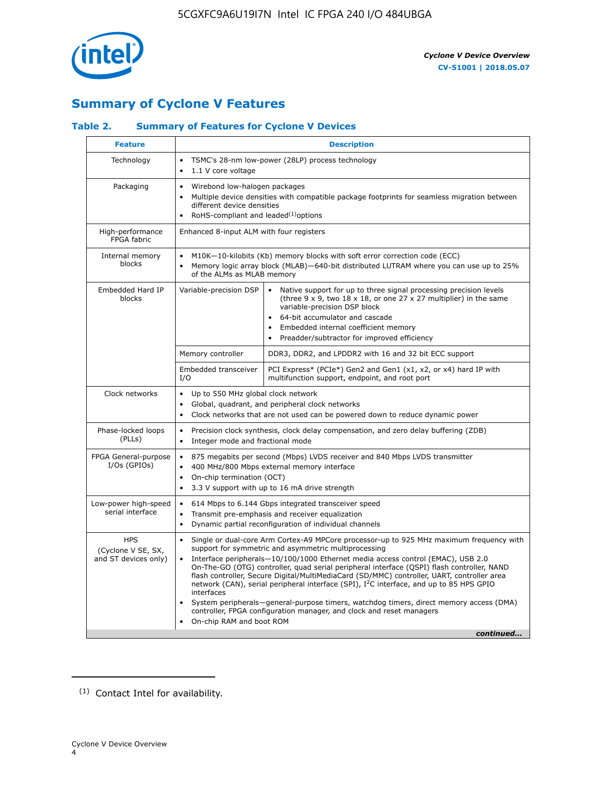

# **Summary of Cyclone V Features**

# **Table 2. Summary of Features for Cyclone V Devices**

| <b>Feature</b>                                           | <b>Description</b>                                                                                                                                                                                                                                                                                                                        |                                                                                                                                                                                                                                                                                                                                                                                                                                                                                                                                                                                                                                                                                                         |  |  |  |  |  |  |
|----------------------------------------------------------|-------------------------------------------------------------------------------------------------------------------------------------------------------------------------------------------------------------------------------------------------------------------------------------------------------------------------------------------|---------------------------------------------------------------------------------------------------------------------------------------------------------------------------------------------------------------------------------------------------------------------------------------------------------------------------------------------------------------------------------------------------------------------------------------------------------------------------------------------------------------------------------------------------------------------------------------------------------------------------------------------------------------------------------------------------------|--|--|--|--|--|--|
| Technology                                               | $\bullet$<br>1.1 V core voltage<br>$\bullet$                                                                                                                                                                                                                                                                                              | TSMC's 28-nm low-power (28LP) process technology                                                                                                                                                                                                                                                                                                                                                                                                                                                                                                                                                                                                                                                        |  |  |  |  |  |  |
| Packaging                                                | $\bullet$                                                                                                                                                                                                                                                                                                                                 | Wirebond low-halogen packages<br>Multiple device densities with compatible package footprints for seamless migration between<br>different device densities<br>RoHS-compliant and leaded $(1)$ options                                                                                                                                                                                                                                                                                                                                                                                                                                                                                                   |  |  |  |  |  |  |
| High-performance<br>FPGA fabric                          | Enhanced 8-input ALM with four registers                                                                                                                                                                                                                                                                                                  |                                                                                                                                                                                                                                                                                                                                                                                                                                                                                                                                                                                                                                                                                                         |  |  |  |  |  |  |
| Internal memory<br>blocks                                | of the ALMs as MLAB memory                                                                                                                                                                                                                                                                                                                | M10K-10-kilobits (Kb) memory blocks with soft error correction code (ECC)<br>Memory logic array block (MLAB)-640-bit distributed LUTRAM where you can use up to 25%                                                                                                                                                                                                                                                                                                                                                                                                                                                                                                                                     |  |  |  |  |  |  |
| Embedded Hard IP<br>blocks                               | Variable-precision DSP<br>Native support for up to three signal processing precision levels<br>(three $9 \times 9$ , two $18 \times 18$ , or one 27 x 27 multiplier) in the same<br>variable-precision DSP block<br>64-bit accumulator and cascade<br>Embedded internal coefficient memory<br>Preadder/subtractor for improved efficiency |                                                                                                                                                                                                                                                                                                                                                                                                                                                                                                                                                                                                                                                                                                         |  |  |  |  |  |  |
|                                                          | Memory controller                                                                                                                                                                                                                                                                                                                         | DDR3, DDR2, and LPDDR2 with 16 and 32 bit ECC support                                                                                                                                                                                                                                                                                                                                                                                                                                                                                                                                                                                                                                                   |  |  |  |  |  |  |
|                                                          | Embedded transceiver<br>I/O                                                                                                                                                                                                                                                                                                               | PCI Express* (PCIe*) Gen2 and Gen1 (x1, x2, or x4) hard IP with<br>multifunction support, endpoint, and root port                                                                                                                                                                                                                                                                                                                                                                                                                                                                                                                                                                                       |  |  |  |  |  |  |
| Clock networks                                           | Up to 550 MHz global clock network<br>$\bullet$<br>$\bullet$                                                                                                                                                                                                                                                                              | Global, quadrant, and peripheral clock networks<br>Clock networks that are not used can be powered down to reduce dynamic power                                                                                                                                                                                                                                                                                                                                                                                                                                                                                                                                                                         |  |  |  |  |  |  |
| Phase-locked loops<br>(PLLs)                             | $\bullet$<br>Integer mode and fractional mode<br>$\bullet$                                                                                                                                                                                                                                                                                | Precision clock synthesis, clock delay compensation, and zero delay buffering (ZDB)                                                                                                                                                                                                                                                                                                                                                                                                                                                                                                                                                                                                                     |  |  |  |  |  |  |
| FPGA General-purpose<br>$I/Os$ (GPIOs)                   | $\bullet$<br>$\bullet$<br>On-chip termination (OCT)<br>$\bullet$                                                                                                                                                                                                                                                                          | 875 megabits per second (Mbps) LVDS receiver and 840 Mbps LVDS transmitter<br>400 MHz/800 Mbps external memory interface<br>3.3 V support with up to 16 mA drive strength                                                                                                                                                                                                                                                                                                                                                                                                                                                                                                                               |  |  |  |  |  |  |
| Low-power high-speed<br>serial interface                 | 614 Mbps to 6.144 Gbps integrated transceiver speed<br>$\bullet$<br>Transmit pre-emphasis and receiver equalization<br>$\bullet$<br>Dynamic partial reconfiguration of individual channels<br>$\bullet$                                                                                                                                   |                                                                                                                                                                                                                                                                                                                                                                                                                                                                                                                                                                                                                                                                                                         |  |  |  |  |  |  |
| <b>HPS</b><br>(Cyclone V SE, SX,<br>and ST devices only) | $\bullet$<br>$\bullet$<br>interfaces<br>On-chip RAM and boot ROM                                                                                                                                                                                                                                                                          | Single or dual-core Arm Cortex-A9 MPCore processor-up to 925 MHz maximum frequency with<br>support for symmetric and asymmetric multiprocessing<br>Interface peripherals-10/100/1000 Ethernet media access control (EMAC), USB 2.0<br>On-The-GO (OTG) controller, quad serial peripheral interface (QSPI) flash controller, NAND<br>flash controller, Secure Digital/MultiMediaCard (SD/MMC) controller, UART, controller area<br>network (CAN), serial peripheral interface (SPI), I <sup>2</sup> C interface, and up to 85 HPS GPIO<br>System peripherals—general-purpose timers, watchdog timers, direct memory access (DMA)<br>controller, FPGA configuration manager, and clock and reset managers |  |  |  |  |  |  |
|                                                          |                                                                                                                                                                                                                                                                                                                                           | continued                                                                                                                                                                                                                                                                                                                                                                                                                                                                                                                                                                                                                                                                                               |  |  |  |  |  |  |

<sup>(1)</sup> Contact Intel for availability.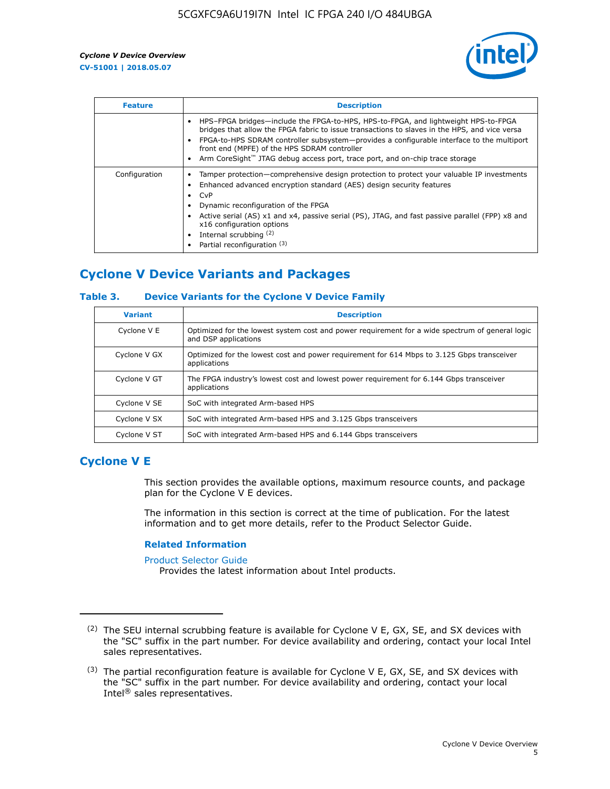

| <b>Feature</b> | <b>Description</b>                                                                                                                                                                                                                                                                                                                                                                                                           |
|----------------|------------------------------------------------------------------------------------------------------------------------------------------------------------------------------------------------------------------------------------------------------------------------------------------------------------------------------------------------------------------------------------------------------------------------------|
|                | HPS-FPGA bridges—include the FPGA-to-HPS, HPS-to-FPGA, and lightweight HPS-to-FPGA<br>bridges that allow the FPGA fabric to issue transactions to slaves in the HPS, and vice versa<br>FPGA-to-HPS SDRAM controller subsystem—provides a configurable interface to the multiport<br>front end (MPFE) of the HPS SDRAM controller<br>Arm CoreSight <sup>™</sup> JTAG debug access port, trace port, and on-chip trace storage |
| Configuration  | Tamper protection—comprehensive design protection to protect your valuable IP investments<br>Enhanced advanced encryption standard (AES) design security features<br>CvP<br>Dynamic reconfiguration of the FPGA<br>Active serial (AS) x1 and x4, passive serial (PS), JTAG, and fast passive parallel (FPP) x8 and<br>x16 configuration options<br>Internal scrubbing (2)<br>Partial reconfiguration (3)                     |

# **Cyclone V Device Variants and Packages**

### **Table 3. Device Variants for the Cyclone V Device Family**

| <b>Variant</b> | <b>Description</b>                                                                                                      |
|----------------|-------------------------------------------------------------------------------------------------------------------------|
| Cyclone V E    | Optimized for the lowest system cost and power requirement for a wide spectrum of general logic<br>and DSP applications |
| Cyclone V GX   | Optimized for the lowest cost and power requirement for 614 Mbps to 3.125 Gbps transceiver<br>applications              |
| Cyclone V GT   | The FPGA industry's lowest cost and lowest power requirement for 6.144 Gbps transceiver<br>applications                 |
| Cyclone V SE   | SoC with integrated Arm-based HPS                                                                                       |
| Cyclone V SX   | SoC with integrated Arm-based HPS and 3.125 Gbps transceivers                                                           |
| Cyclone V ST   | SoC with integrated Arm-based HPS and 6.144 Gbps transceivers                                                           |

# **Cyclone V E**

This section provides the available options, maximum resource counts, and package plan for the Cyclone V E devices.

The information in this section is correct at the time of publication. For the latest information and to get more details, refer to the Product Selector Guide.

#### **Related Information**

[Product Selector Guide](https://www.altera.com/products/product-selector-guide.html)

Provides the latest information about Intel products.

<sup>(2)</sup> The SEU internal scrubbing feature is available for Cyclone V E, GX, SE, and SX devices with the "SC" suffix in the part number. For device availability and ordering, contact your local Intel sales representatives.

 $(3)$  The partial reconfiguration feature is available for Cyclone V E, GX, SE, and SX devices with the "SC" suffix in the part number. For device availability and ordering, contact your local Intel® sales representatives.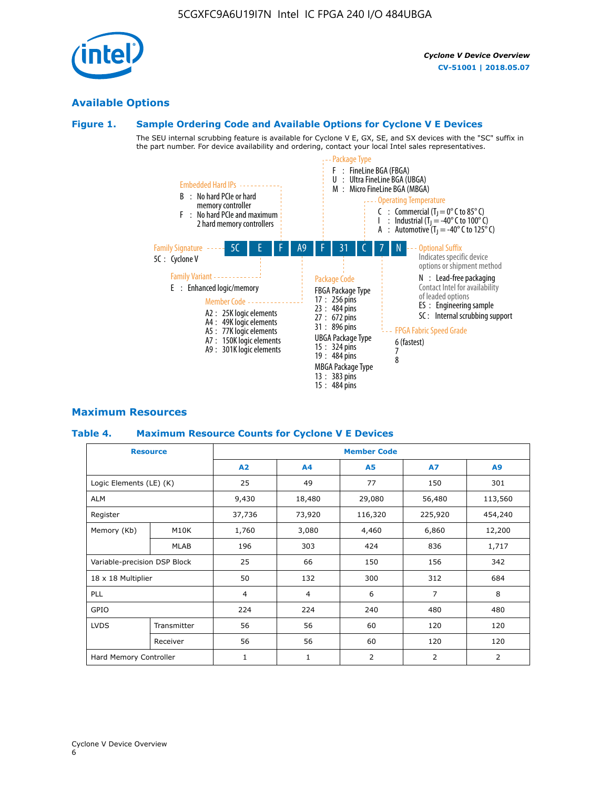



# **Available Options**

### **Figure 1. Sample Ordering Code and Available Options for Cyclone V E Devices**

The SEU internal scrubbing feature is available for Cyclone V E, GX, SE, and SX devices with the "SC" suffix in the part number. For device availability and ordering, contact your local Intel sales representatives.



### **Maximum Resources**

### **Table 4. Maximum Resource Counts for Cyclone V E Devices**

| <b>Resource</b>              |             | <b>Member Code</b> |                |                |                |         |  |  |
|------------------------------|-------------|--------------------|----------------|----------------|----------------|---------|--|--|
|                              |             | A2                 | A4             | <b>A5</b>      | <b>A7</b>      | A9      |  |  |
| Logic Elements (LE) (K)      |             | 25                 | 49             | 77             | 150            | 301     |  |  |
| <b>ALM</b>                   |             | 9,430              | 18,480         | 29,080         | 56,480         | 113,560 |  |  |
| Register                     |             | 37,736             | 73,920         | 116,320        | 225,920        | 454,240 |  |  |
| Memory (Kb)                  | M10K        | 1,760              | 3,080          | 4,460          | 6,860          | 12,200  |  |  |
|                              | <b>MLAB</b> | 196                | 303            | 424            | 836            | 1,717   |  |  |
| Variable-precision DSP Block |             | 25                 | 66             | 150            | 156            | 342     |  |  |
| 18 x 18 Multiplier           |             | 50                 | 132            | 300            | 312            | 684     |  |  |
| <b>PLL</b>                   |             | 4                  | $\overline{4}$ | 6              | $\overline{7}$ | 8       |  |  |
| GPIO                         |             | 224                | 224<br>240     |                | 480            | 480     |  |  |
| <b>LVDS</b>                  | Transmitter | 56                 | 56             | 60             | 120            | 120     |  |  |
|                              | Receiver    | 56                 | 56             | 60             | 120            | 120     |  |  |
| Hard Memory Controller       |             | $\mathbf{1}$       | $\mathbf{1}$   | $\overline{2}$ | $\overline{2}$ | 2       |  |  |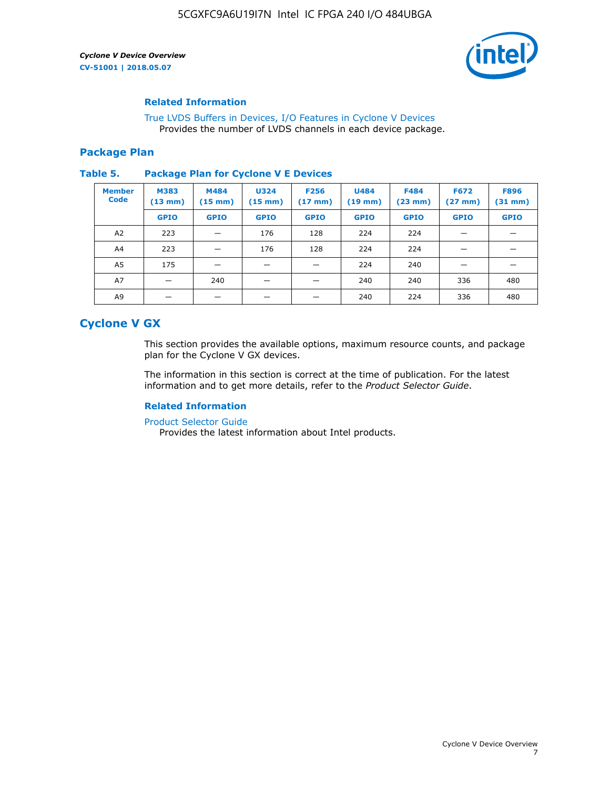

### **Related Information**

[True LVDS Buffers in Devices, I/O Features in Cyclone V Devices](https://www.altera.com/documentation/sam1403481100977.html#sam1403480885395) Provides the number of LVDS channels in each device package.

### **Package Plan**

#### **Table 5. Package Plan for Cyclone V E Devices**

| <b>Member</b><br><b>Code</b> | <b>M383</b><br>$(13 \text{ mm})$ | M484<br>$(15 \text{ mm})$ | <b>U324</b><br>$(15 \text{ mm})$ | <b>F256</b><br>$(17 \text{ mm})$ | <b>U484</b><br>$(19$ mm) | <b>F484</b><br>$(23$ mm $)$ | <b>F672</b><br>$(27 \, \text{mm})$ | <b>F896</b><br>$(31$ mm $)$ |
|------------------------------|----------------------------------|---------------------------|----------------------------------|----------------------------------|--------------------------|-----------------------------|------------------------------------|-----------------------------|
|                              | <b>GPIO</b>                      | <b>GPIO</b>               | <b>GPIO</b>                      | <b>GPIO</b>                      | <b>GPIO</b>              | <b>GPIO</b>                 | <b>GPIO</b>                        | <b>GPIO</b>                 |
| A2                           | 223                              |                           | 176                              | 128                              | 224                      | 224                         | –                                  |                             |
| A4                           | 223                              |                           | 176                              | 128                              | 224                      | 224                         | –                                  |                             |
| A5                           | 175                              |                           |                                  |                                  | 224                      | 240                         |                                    |                             |
| A7                           |                                  | 240                       |                                  |                                  | 240                      | 240                         | 336                                | 480                         |
| A9                           |                                  |                           |                                  |                                  | 240                      | 224                         | 336                                | 480                         |

# **Cyclone V GX**

This section provides the available options, maximum resource counts, and package plan for the Cyclone V GX devices.

The information in this section is correct at the time of publication. For the latest information and to get more details, refer to the *Product Selector Guide*.

### **Related Information**

[Product Selector Guide](https://www.altera.com/products/product-selector-guide.html)

Provides the latest information about Intel products.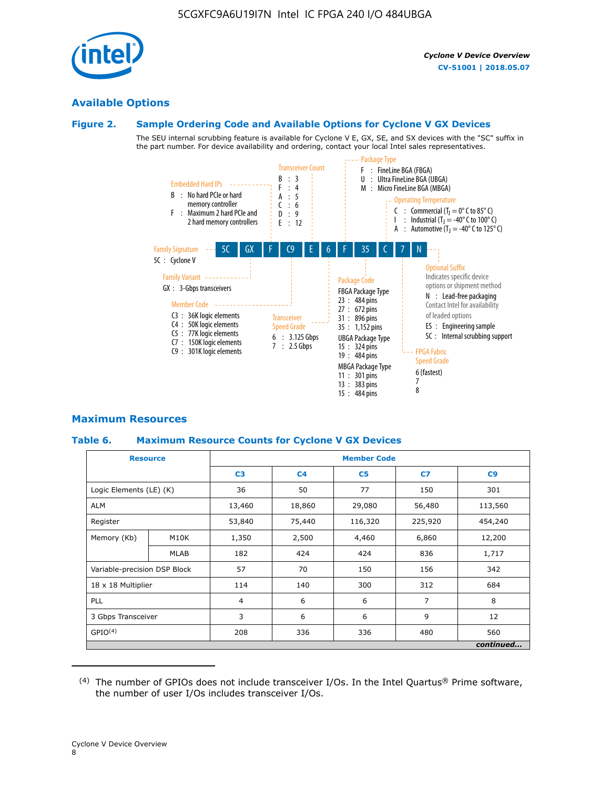

# **Available Options**

### **Figure 2. Sample Ordering Code and Available Options for Cyclone V GX Devices**

The SEU internal scrubbing feature is available for Cyclone V E, GX, SE, and SX devices with the "SC" suffix in the part number. For device availability and ordering, contact your local Intel sales representatives.



### **Maximum Resources**

### **Table 6. Maximum Resource Counts for Cyclone V GX Devices**

| <b>Resource</b>              |             | <b>Member Code</b> |                |                |                |           |  |  |
|------------------------------|-------------|--------------------|----------------|----------------|----------------|-----------|--|--|
|                              |             | C <sub>3</sub>     | C <sub>4</sub> | C <sub>5</sub> | C7             | C9        |  |  |
| Logic Elements (LE) (K)      |             | 36                 | 50             | 77             | 150            | 301       |  |  |
| <b>ALM</b>                   |             | 13,460             | 18,860         | 29,080         | 56,480         | 113,560   |  |  |
| Register                     |             | 53,840             | 75,440         | 116,320        | 225,920        | 454,240   |  |  |
| Memory (Kb)                  | M10K        | 1,350              | 2,500          | 4,460          | 6,860          | 12,200    |  |  |
|                              | <b>MLAB</b> | 182                | 424            | 424            | 836            | 1,717     |  |  |
| Variable-precision DSP Block |             | 57                 | 70             | 150            | 156            | 342       |  |  |
| 18 x 18 Multiplier           |             | 114                | 140            | 300            | 312            | 684       |  |  |
| PLL                          |             |                    | 6              | 6              | $\overline{7}$ | 8         |  |  |
| 3 Gbps Transceiver           |             | 3                  | 6              | 6              | 9              | 12        |  |  |
| GPIO <sup>(4)</sup>          |             | 208                | 336            | 336            | 480            | 560       |  |  |
|                              |             |                    |                |                |                | continued |  |  |

 $(4)$  The number of GPIOs does not include transceiver I/Os. In the Intel Quartus® Prime software, the number of user I/Os includes transceiver I/Os.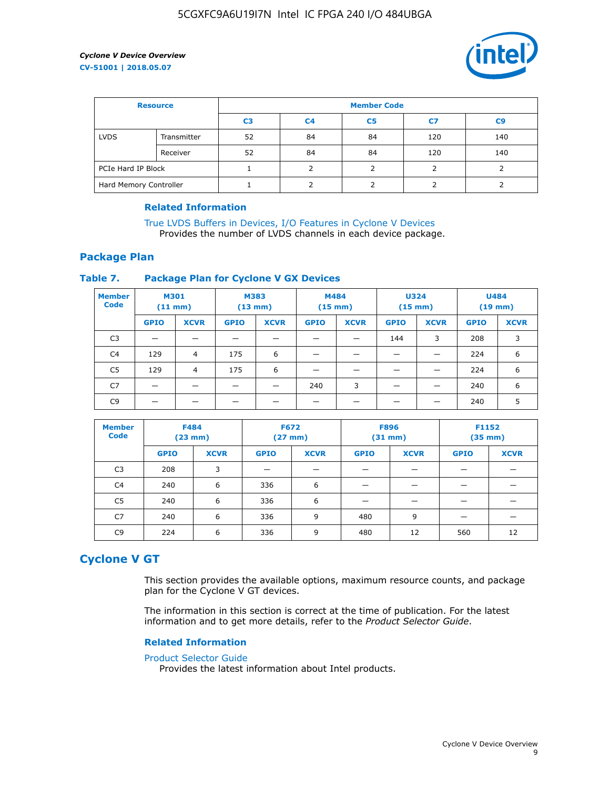

| <b>Resource</b>        |             | <b>Member Code</b> |                |                |     |                |  |  |
|------------------------|-------------|--------------------|----------------|----------------|-----|----------------|--|--|
|                        |             | C <sub>3</sub>     | C <sub>4</sub> | C <sub>5</sub> | C7  | C <sub>9</sub> |  |  |
| <b>LVDS</b>            | Transmitter | 52                 | 84             | 84             | 120 | 140            |  |  |
|                        | Receiver    | 52                 | 84             | 84             | 120 | 140            |  |  |
| PCIe Hard IP Block     |             |                    |                |                |     |                |  |  |
| Hard Memory Controller |             |                    |                |                |     |                |  |  |

### **Related Information**

[True LVDS Buffers in Devices, I/O Features in Cyclone V Devices](https://www.altera.com/documentation/sam1403481100977.html#sam1403480885395) Provides the number of LVDS channels in each device package.

### **Package Plan**

### **Table 7. Package Plan for Cyclone V GX Devices**

| <b>Member</b><br><b>Code</b> | <b>M301</b><br>$(11$ mm) |                | <b>M383</b><br>(13 mm) |             | M484<br>$(15 \text{ mm})$ |             | <b>U324</b><br>$(15 \text{ mm})$ |             | <b>U484</b><br>$(19$ mm) |             |
|------------------------------|--------------------------|----------------|------------------------|-------------|---------------------------|-------------|----------------------------------|-------------|--------------------------|-------------|
|                              | <b>GPIO</b>              | <b>XCVR</b>    | <b>GPIO</b>            | <b>XCVR</b> | <b>GPIO</b>               | <b>XCVR</b> | <b>GPIO</b>                      | <b>XCVR</b> | <b>GPIO</b>              | <b>XCVR</b> |
| C <sub>3</sub>               |                          | –              |                        | –           |                           | –           | 144                              | 3           | 208                      | 3           |
| C <sub>4</sub>               | 129                      | 4              | 175                    | 6           |                           |             |                                  |             | 224                      | 6           |
| C5                           | 129                      | $\overline{4}$ | 175                    | 6           |                           |             |                                  |             | 224                      | 6           |
| C7                           |                          |                |                        |             | 240                       | 3           |                                  |             | 240                      | 6           |
| C <sub>9</sub>               |                          |                |                        |             |                           |             |                                  |             | 240                      | 5           |

| <b>Member</b><br><b>Code</b> | <b>F484</b><br>$(23$ mm $)$ |             | <b>F672</b><br>$(27 \, \text{mm})$ |             | <b>F896</b><br>$(31$ mm $)$ |             | F1152<br>$(35 \text{ mm})$ |             |
|------------------------------|-----------------------------|-------------|------------------------------------|-------------|-----------------------------|-------------|----------------------------|-------------|
|                              | <b>GPIO</b>                 | <b>XCVR</b> | <b>GPIO</b>                        | <b>XCVR</b> | <b>GPIO</b>                 | <b>XCVR</b> | <b>GPIO</b>                | <b>XCVR</b> |
| C <sub>3</sub>               | 208                         | 3           |                                    |             |                             |             |                            |             |
| C4                           | 240                         | 6           | 336                                | 6           |                             |             |                            |             |
| C5                           | 240                         | 6           | 336                                | 6           |                             |             |                            |             |
| C7                           | 240                         | 6           | 336                                | 9           | 480                         | 9           |                            |             |
| C9                           | 224                         | 6           | 336                                | 9           | 480                         | 12          | 560                        | 12          |

# **Cyclone V GT**

This section provides the available options, maximum resource counts, and package plan for the Cyclone V GT devices.

The information in this section is correct at the time of publication. For the latest information and to get more details, refer to the *Product Selector Guide*.

### **Related Information**

#### [Product Selector Guide](https://www.altera.com/products/product-selector-guide.html)

Provides the latest information about Intel products.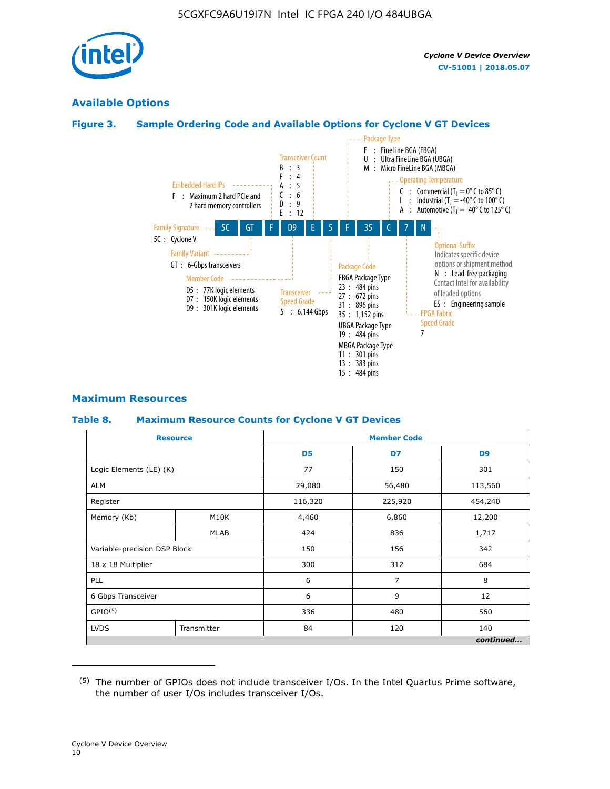

# **Available Options**

### **Figure 3. Sample Ordering Code and Available Options for Cyclone V GT Devices**



### **Maximum Resources**

#### **Table 8. Maximum Resource Counts for Cyclone V GT Devices**

|                              | <b>Resource</b> | <b>Member Code</b> |                |                |  |  |  |
|------------------------------|-----------------|--------------------|----------------|----------------|--|--|--|
|                              |                 | D <sub>5</sub>     | D7             | D <sub>9</sub> |  |  |  |
| Logic Elements (LE) (K)      |                 | 77                 | 150            | 301            |  |  |  |
| <b>ALM</b>                   |                 | 29,080             | 56,480         | 113,560        |  |  |  |
| Register                     |                 | 116,320            | 225,920        | 454,240        |  |  |  |
| Memory (Kb)                  | M10K            | 4,460              | 6,860          | 12,200         |  |  |  |
|                              | MLAB            | 424                | 836            | 1,717          |  |  |  |
| Variable-precision DSP Block |                 | 150                | 156            | 342            |  |  |  |
| 18 x 18 Multiplier           |                 | 300                | 312            | 684            |  |  |  |
| PLL                          |                 | 6                  | $\overline{7}$ | 8              |  |  |  |
| 6 Gbps Transceiver           |                 | 6                  | 9              | 12             |  |  |  |
| GPIO <sup>(5)</sup>          |                 | 336                | 480            | 560            |  |  |  |
| <b>LVDS</b>                  | Transmitter     | 84                 | 120            | 140            |  |  |  |
|                              |                 |                    |                | continued      |  |  |  |

<sup>(5)</sup> The number of GPIOs does not include transceiver I/Os. In the Intel Quartus Prime software, the number of user I/Os includes transceiver I/Os.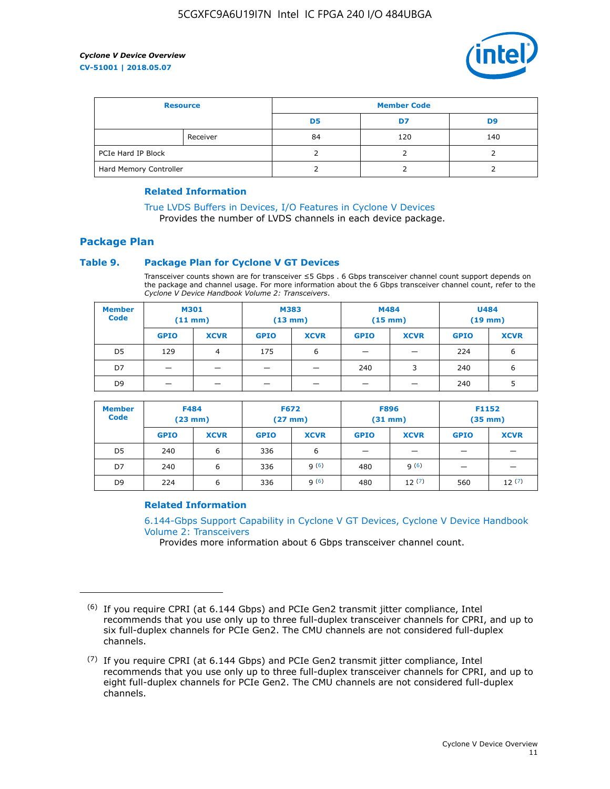

| <b>Resource</b>        |          | <b>Member Code</b> |     |     |  |  |
|------------------------|----------|--------------------|-----|-----|--|--|
|                        |          | D <sub>5</sub>     | D7  | D9  |  |  |
|                        | Receiver | 84                 | 120 | 140 |  |  |
| PCIe Hard IP Block     |          |                    |     |     |  |  |
| Hard Memory Controller |          |                    |     |     |  |  |

### **Related Information**

[True LVDS Buffers in Devices, I/O Features in Cyclone V Devices](https://www.altera.com/documentation/sam1403481100977.html#sam1403480885395) Provides the number of LVDS channels in each device package.

# **Package Plan**

### **Table 9. Package Plan for Cyclone V GT Devices**

Transceiver counts shown are for transceiver ≤5 Gbps . 6 Gbps transceiver channel count support depends on the package and channel usage. For more information about the 6 Gbps transceiver channel count, refer to the *Cyclone V Device Handbook Volume 2: Transceivers*.

| <b>Member</b><br><b>Code</b> | <b>M301</b><br>$(11$ mm) |             | M383<br>$(13 \text{ mm})$ |             | M484<br>(15 mm)          |                          | <b>U484</b><br>$(19$ mm) |             |
|------------------------------|--------------------------|-------------|---------------------------|-------------|--------------------------|--------------------------|--------------------------|-------------|
|                              | <b>GPIO</b>              | <b>XCVR</b> | <b>GPIO</b>               | <b>XCVR</b> | <b>GPIO</b>              | <b>XCVR</b>              | <b>GPIO</b>              | <b>XCVR</b> |
| D <sub>5</sub>               | 129                      | 4           | 175                       | 6           | $\overline{\phantom{0}}$ | $\overline{\phantom{0}}$ | 224                      | 6           |
| D7                           | -                        |             |                           | _           | 240                      | 3                        | 240                      | 6           |
| D <sub>9</sub>               | -                        |             |                           | _           | _                        | –                        | 240                      | 5           |

| <b>Member</b><br><b>Code</b> | <b>F484</b><br>$(23$ mm $)$ |             | <b>F672</b><br>$(27 \text{ mm})$ |             | <b>F896</b><br>$(31$ mm $)$ |             | F1152<br>$(35$ mm $)$ |             |
|------------------------------|-----------------------------|-------------|----------------------------------|-------------|-----------------------------|-------------|-----------------------|-------------|
|                              | <b>GPIO</b>                 | <b>XCVR</b> | <b>GPIO</b>                      | <b>XCVR</b> | <b>GPIO</b>                 | <b>XCVR</b> | <b>GPIO</b>           | <b>XCVR</b> |
| D <sub>5</sub>               | 240                         | 6           | 336                              | 6           | -                           |             |                       |             |
| D7                           | 240                         | 6           | 336                              | q(6)        | 480                         | q(6)        | -                     | _           |
| D <sub>9</sub>               | 224                         | 6           | 336                              | q(6)        | 480                         | 12(7)       | 560                   | 12(7)       |

### **Related Information**

[6.144-Gbps Support Capability in Cyclone V GT Devices, Cyclone V Device Handbook](https://www.altera.com/documentation/nik1409855456781.html#nik1409855410757) [Volume 2: Transceivers](https://www.altera.com/documentation/nik1409855456781.html#nik1409855410757)

Provides more information about 6 Gbps transceiver channel count.

<sup>(6)</sup> If you require CPRI (at 6.144 Gbps) and PCIe Gen2 transmit jitter compliance, Intel recommends that you use only up to three full-duplex transceiver channels for CPRI, and up to six full-duplex channels for PCIe Gen2. The CMU channels are not considered full-duplex channels.

 $(7)$  If you require CPRI (at 6.144 Gbps) and PCIe Gen2 transmit jitter compliance, Intel recommends that you use only up to three full-duplex transceiver channels for CPRI, and up to eight full-duplex channels for PCIe Gen2. The CMU channels are not considered full-duplex channels.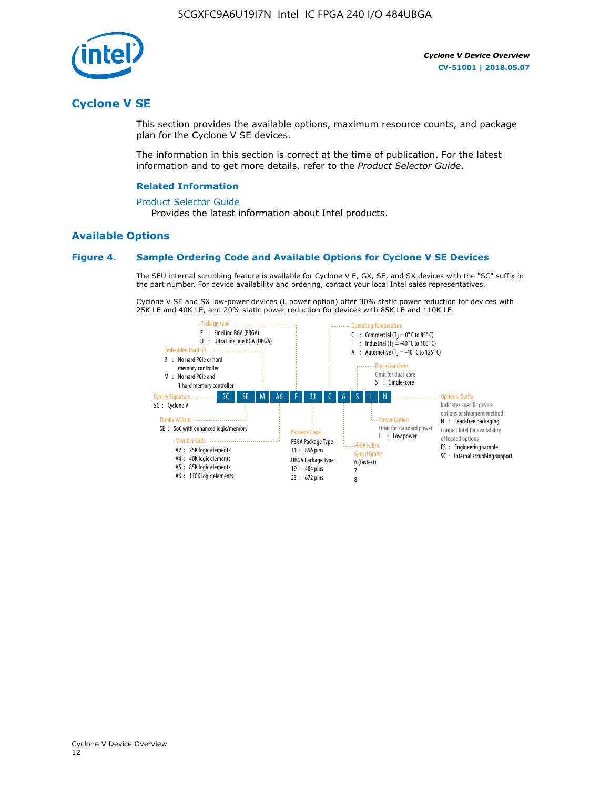

# **Cyclone V SE**

This section provides the available options, maximum resource counts, and package plan for the Cyclone V SE devices.

The information in this section is correct at the time of publication. For the latest information and to get more details, refer to the *Product Selector Guide*.

### **Related Information**

#### [Product Selector Guide](https://www.altera.com/products/product-selector-guide.html)

Provides the latest information about Intel products.

### **Available Options**

### **Figure 4. Sample Ordering Code and Available Options for Cyclone V SE Devices**

The SEU internal scrubbing feature is available for Cyclone V E, GX, SE, and SX devices with the "SC" suffix in the part number. For device availability and ordering, contact your local Intel sales representatives.

Cyclone V SE and SX low-power devices (L power option) offer 30% static power reduction for devices with 25K LE and 40K LE, and 20% static power reduction for devices with 85K LE and 110K LE.

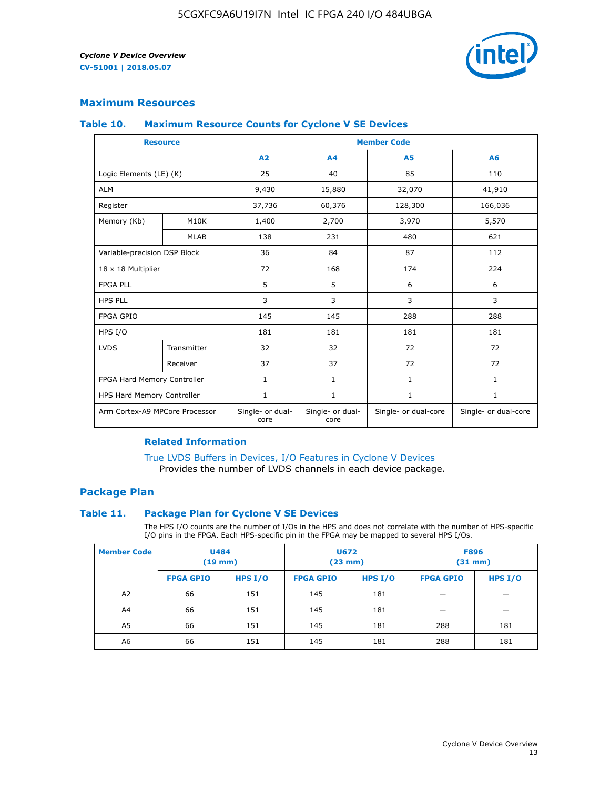

### **Maximum Resources**

### **Table 10. Maximum Resource Counts for Cyclone V SE Devices**

|                                | <b>Resource</b>              | <b>Member Code</b>       |                          |                      |                      |  |
|--------------------------------|------------------------------|--------------------------|--------------------------|----------------------|----------------------|--|
|                                |                              | A <sub>2</sub>           | A <sub>4</sub>           | <b>A5</b>            | A6                   |  |
| Logic Elements (LE) (K)        |                              | 25                       | 40                       | 85                   | 110                  |  |
| <b>ALM</b>                     |                              | 9,430                    | 15,880                   | 32,070               | 41,910               |  |
| Register                       |                              | 37,736                   | 60,376                   | 128,300              | 166,036              |  |
| Memory (Kb)                    | M10K                         | 1,400                    | 2,700                    | 3,970                | 5,570                |  |
|                                | <b>MLAB</b>                  | 138                      | 231                      | 480                  | 621                  |  |
|                                | Variable-precision DSP Block |                          | 84                       | 87                   | 112                  |  |
| 18 x 18 Multiplier             |                              | 72                       | 168                      | 174                  | 224                  |  |
| <b>FPGA PLL</b>                |                              | 5                        | 5                        | 6                    | 6                    |  |
| <b>HPS PLL</b>                 |                              | 3                        | 3                        | 3                    | 3                    |  |
| <b>FPGA GPIO</b>               |                              | 145                      | 145                      | 288                  | 288                  |  |
| HPS I/O                        |                              | 181                      | 181                      | 181                  | 181                  |  |
| <b>LVDS</b>                    | Transmitter                  | 32                       | 32                       | 72                   | 72                   |  |
|                                | Receiver                     | 37                       | 37                       | 72                   | 72                   |  |
| FPGA Hard Memory Controller    |                              | 1                        | $\mathbf{1}$             | $\mathbf{1}$         | $\mathbf{1}$         |  |
| HPS Hard Memory Controller     |                              | $\mathbf{1}$             | $\mathbf{1}$             | $\mathbf{1}$         | $\mathbf{1}$         |  |
| Arm Cortex-A9 MPCore Processor |                              | Single- or dual-<br>core | Single- or dual-<br>core | Single- or dual-core | Single- or dual-core |  |

### **Related Information**

[True LVDS Buffers in Devices, I/O Features in Cyclone V Devices](https://www.altera.com/documentation/sam1403481100977.html#sam1403480885395) Provides the number of LVDS channels in each device package.

## **Package Plan**

### **Table 11. Package Plan for Cyclone V SE Devices**

The HPS I/O counts are the number of I/Os in the HPS and does not correlate with the number of HPS-specific I/O pins in the FPGA. Each HPS-specific pin in the FPGA may be mapped to several HPS I/Os.

| <b>Member Code</b> | <b>U484</b><br>$(19$ mm) |         | <b>U672</b><br>(23 mm) |           | <b>F896</b><br>$(31$ mm $)$ |           |
|--------------------|--------------------------|---------|------------------------|-----------|-----------------------------|-----------|
|                    | <b>FPGA GPIO</b>         | HPS I/O | <b>FPGA GPIO</b>       | HPS $I/O$ | <b>FPGA GPIO</b>            | HPS $I/O$ |
| A2                 | 66                       | 151     | 145                    | 181       |                             |           |
| A <sup>4</sup>     | 66                       | 151     | 145                    | 181       |                             |           |
| A <sub>5</sub>     | 66                       | 151     | 145                    | 181       | 288                         | 181       |
| A6                 | 66                       | 151     | 145                    | 181       | 288                         | 181       |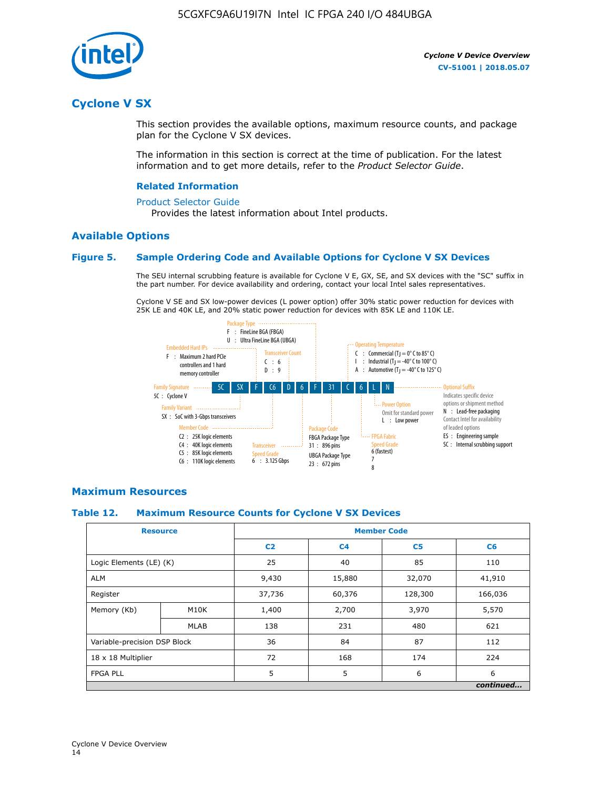

# **Cyclone V SX**

This section provides the available options, maximum resource counts, and package plan for the Cyclone V SX devices.

The information in this section is correct at the time of publication. For the latest information and to get more details, refer to the *Product Selector Guide*.

### **Related Information**

#### [Product Selector Guide](https://www.altera.com/products/product-selector-guide.html)

Provides the latest information about Intel products.

### **Available Options**

### **Figure 5. Sample Ordering Code and Available Options for Cyclone V SX Devices**

The SEU internal scrubbing feature is available for Cyclone V E, GX, SE, and SX devices with the "SC" suffix in the part number. For device availability and ordering, contact your local Intel sales representatives.

Cyclone V SE and SX low-power devices (L power option) offer 30% static power reduction for devices with 25K LE and 40K LE, and 20% static power reduction for devices with 85K LE and 110K LE.



### **Maximum Resources**

### **Table 12. Maximum Resource Counts for Cyclone V SX Devices**

|                              | <b>Resource</b> | <b>Member Code</b> |                |                |           |  |
|------------------------------|-----------------|--------------------|----------------|----------------|-----------|--|
|                              |                 | C <sub>2</sub>     | C <sub>4</sub> | C <sub>5</sub> | C6        |  |
| Logic Elements (LE) (K)      |                 | 25                 | 40             | 85             | 110       |  |
| <b>ALM</b>                   |                 | 9,430              | 15,880         | 32,070         | 41,910    |  |
| Register                     |                 | 37,736             | 60,376         | 128,300        | 166,036   |  |
| Memory (Kb)                  | M10K            | 1,400              | 2,700          | 3,970          | 5,570     |  |
|                              | <b>MLAB</b>     | 138                | 231            | 480            | 621       |  |
| Variable-precision DSP Block |                 | 36                 | 84             | 87             | 112       |  |
| 18 x 18 Multiplier           |                 | 72                 | 168            | 174            | 224       |  |
| <b>FPGA PLL</b>              |                 | 5                  | 5              | 6              | 6         |  |
|                              |                 |                    |                |                | continued |  |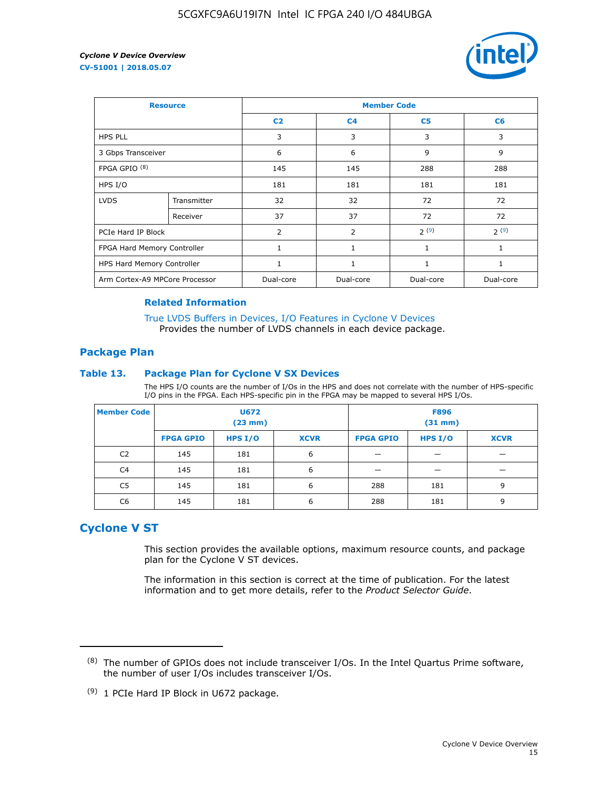

| <b>Resource</b>                |             | <b>Member Code</b> |                |                |              |  |  |
|--------------------------------|-------------|--------------------|----------------|----------------|--------------|--|--|
|                                |             | C <sub>2</sub>     | C <sub>4</sub> | C <sub>5</sub> | C6           |  |  |
| <b>HPS PLL</b>                 |             | 3                  | 3              | 3              | 3            |  |  |
| 3 Gbps Transceiver             |             | 6                  | 6              | 9              | 9            |  |  |
| FPGA GPIO <sup>(8)</sup>       |             | 145                | 145            | 288            | 288          |  |  |
| HPS I/O                        |             | 181                | 181            | 181            | 181          |  |  |
| <b>LVDS</b>                    | Transmitter | 32                 | 32             | 72             | 72           |  |  |
|                                | Receiver    | 37                 | 37             | 72             | 72           |  |  |
| PCIe Hard IP Block             |             | 2                  | $\overline{2}$ | 2(9)           | 2(9)         |  |  |
| FPGA Hard Memory Controller    |             | 1                  | $\mathbf{1}$   | 1              | 1            |  |  |
| HPS Hard Memory Controller     |             | 1                  | $\mathbf{1}$   | 1              | $\mathbf{1}$ |  |  |
| Arm Cortex-A9 MPCore Processor |             | Dual-core          | Dual-core      | Dual-core      | Dual-core    |  |  |

### **Related Information**

[True LVDS Buffers in Devices, I/O Features in Cyclone V Devices](https://www.altera.com/documentation/sam1403481100977.html#sam1403480885395) Provides the number of LVDS channels in each device package.

### **Package Plan**

### **Table 13. Package Plan for Cyclone V SX Devices**

The HPS I/O counts are the number of I/Os in the HPS and does not correlate with the number of HPS-specific I/O pins in the FPGA. Each HPS-specific pin in the FPGA may be mapped to several HPS I/Os.

| <b>Member Code</b> | U672<br>(23 mm)  |           | <b>F896</b><br>$(31$ mm $)$ |                  |           |             |
|--------------------|------------------|-----------|-----------------------------|------------------|-----------|-------------|
|                    | <b>FPGA GPIO</b> | HPS $I/O$ | <b>XCVR</b>                 | <b>FPGA GPIO</b> | HPS $I/O$ | <b>XCVR</b> |
| C <sub>2</sub>     | 145              | 181       | 6                           |                  |           |             |
| C <sub>4</sub>     | 145              | 181       | 6                           |                  |           |             |
| C5                 | 145              | 181       | 6                           | 288              | 181       | 9           |
| C6                 | 145              | 181       | 6                           | 288              | 181       | 9           |

# **Cyclone V ST**

This section provides the available options, maximum resource counts, and package plan for the Cyclone V ST devices.

The information in this section is correct at the time of publication. For the latest information and to get more details, refer to the *Product Selector Guide*.

 $(8)$  The number of GPIOs does not include transceiver I/Os. In the Intel Quartus Prime software, the number of user I/Os includes transceiver I/Os.

<sup>(9)</sup> 1 PCIe Hard IP Block in U672 package.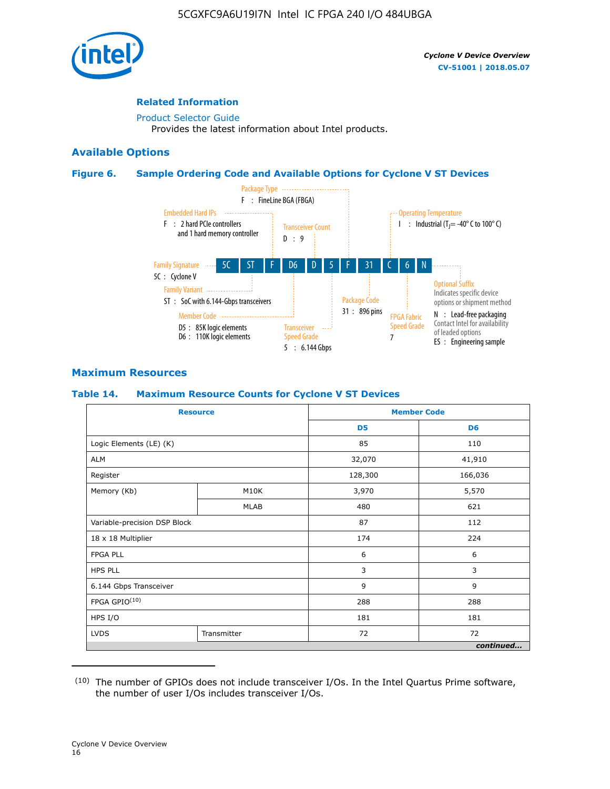

### **Related Information**

[Product Selector Guide](https://www.altera.com/products/product-selector-guide.html) Provides the latest information about Intel products.

### **Available Options**

### **Figure 6. Sample Ordering Code and Available Options for Cyclone V ST Devices**



## **Maximum Resources**

### **Table 14. Maximum Resource Counts for Cyclone V ST Devices**

| <b>Resource</b>              |             |                | <b>Member Code</b> |
|------------------------------|-------------|----------------|--------------------|
|                              |             | D <sub>5</sub> | D <sub>6</sub>     |
| Logic Elements (LE) (K)      |             | 85             | 110                |
| <b>ALM</b>                   |             | 32,070         | 41,910             |
| Register                     |             | 128,300        | 166,036            |
| Memory (Kb)                  | M10K        | 3,970          | 5,570              |
|                              | <b>MLAB</b> | 480            | 621                |
| Variable-precision DSP Block |             | 87             | 112                |
| 18 x 18 Multiplier           |             | 174            | 224                |
| <b>FPGA PLL</b>              |             | 6              | 6                  |
| <b>HPS PLL</b>               |             | 3              | 3                  |
| 6.144 Gbps Transceiver       |             | 9              | 9                  |
| FPGA GPIO(10)                |             | 288            | 288                |
| HPS I/O                      |             | 181            | 181                |
| <b>LVDS</b>                  | Transmitter | 72             | 72                 |
|                              |             |                | continued          |

<sup>(10)</sup> The number of GPIOs does not include transceiver I/Os. In the Intel Quartus Prime software, the number of user I/Os includes transceiver I/Os.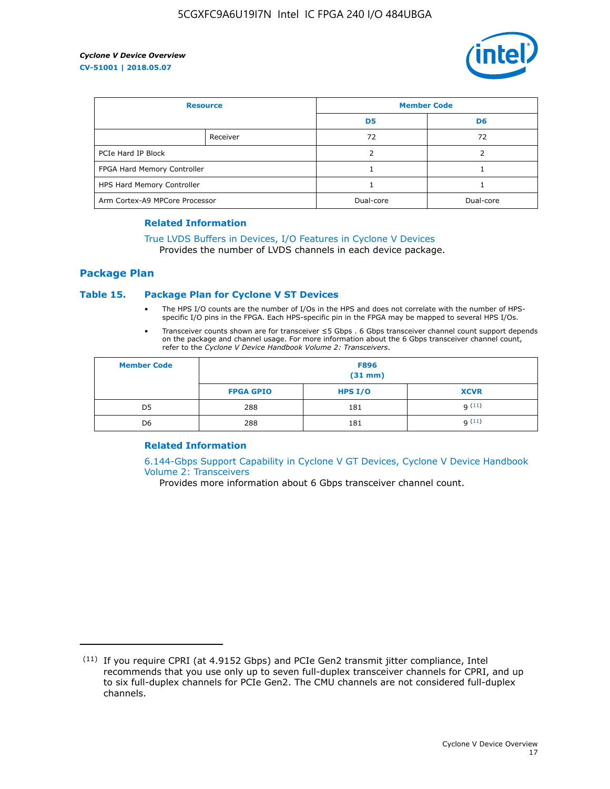

| <b>Resource</b>                |          | <b>Member Code</b> |           |  |
|--------------------------------|----------|--------------------|-----------|--|
|                                |          | D <sub>5</sub>     | D6        |  |
|                                | Receiver | 72                 | 72        |  |
| PCIe Hard IP Block             |          | ว                  |           |  |
| FPGA Hard Memory Controller    |          |                    |           |  |
| HPS Hard Memory Controller     |          |                    |           |  |
| Arm Cortex-A9 MPCore Processor |          | Dual-core          | Dual-core |  |

### **Related Information**

# [True LVDS Buffers in Devices, I/O Features in Cyclone V Devices](https://www.altera.com/documentation/sam1403481100977.html#sam1403480885395)

Provides the number of LVDS channels in each device package.

### **Package Plan**

### **Table 15. Package Plan for Cyclone V ST Devices**

- The HPS I/O counts are the number of I/Os in the HPS and does not correlate with the number of HPSspecific I/O pins in the FPGA. Each HPS-specific pin in the FPGA may be mapped to several HPS I/Os.
- Transceiver counts shown are for transceiver ≤5 Gbps . 6 Gbps transceiver channel count support depends on the package and channel usage. For more information about the 6 Gbps transceiver channel count, refer to the *Cyclone V Device Handbook Volume 2: Transceivers*.

| <b>Member Code</b> | <b>F896</b><br>$(31$ mm $)$ |           |             |  |  |
|--------------------|-----------------------------|-----------|-------------|--|--|
|                    | <b>FPGA GPIO</b>            | HPS $I/O$ | <b>XCVR</b> |  |  |
| D <sub>5</sub>     | 288                         | 181       | 9(11)       |  |  |
| D <sub>6</sub>     | 288                         | 181       | q(11)       |  |  |

### **Related Information**

[6.144-Gbps Support Capability in Cyclone V GT Devices, Cyclone V Device Handbook](https://www.altera.com/documentation/nik1409855456781.html#nik1409855410757) [Volume 2: Transceivers](https://www.altera.com/documentation/nik1409855456781.html#nik1409855410757)

Provides more information about 6 Gbps transceiver channel count.

<sup>(11)</sup> If you require CPRI (at 4.9152 Gbps) and PCIe Gen2 transmit jitter compliance, Intel recommends that you use only up to seven full-duplex transceiver channels for CPRI, and up to six full-duplex channels for PCIe Gen2. The CMU channels are not considered full-duplex channels.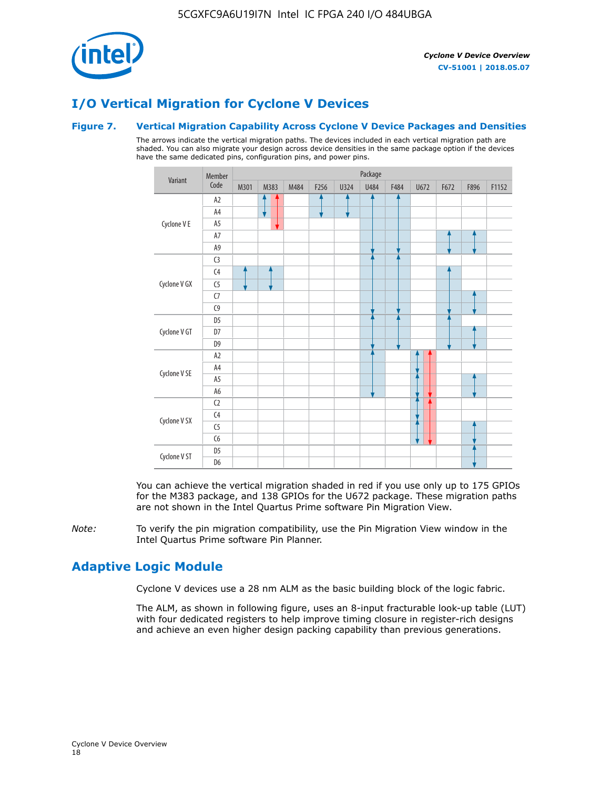

# **I/O Vertical Migration for Cyclone V Devices**

### **Figure 7. Vertical Migration Capability Across Cyclone V Device Packages and Densities**

The arrows indicate the vertical migration paths. The devices included in each vertical migration path are shaded. You can also migrate your design across device densities in the same package option if the devices have the same dedicated pins, configuration pins, and power pins.



You can achieve the vertical migration shaded in red if you use only up to 175 GPIOs for the M383 package, and 138 GPIOs for the U672 package. These migration paths are not shown in the Intel Quartus Prime software Pin Migration View.

*Note:* To verify the pin migration compatibility, use the Pin Migration View window in the Intel Quartus Prime software Pin Planner.

# **Adaptive Logic Module**

Cyclone V devices use a 28 nm ALM as the basic building block of the logic fabric.

The ALM, as shown in following figure, uses an 8-input fracturable look-up table (LUT) with four dedicated registers to help improve timing closure in register-rich designs and achieve an even higher design packing capability than previous generations.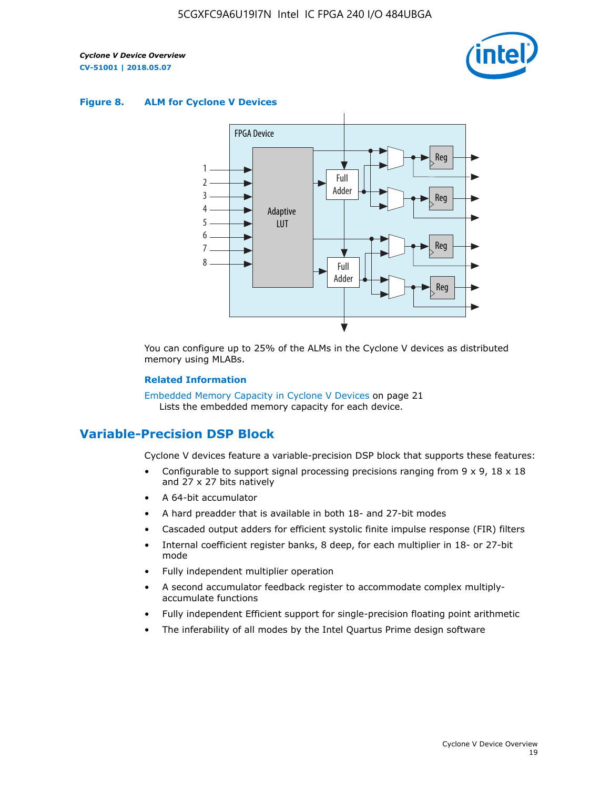

### **Figure 8. ALM for Cyclone V Devices**



You can configure up to 25% of the ALMs in the Cyclone V devices as distributed memory using MLABs.

### **Related Information**

Embedded Memory Capacity in Cyclone V Devices on page 21 Lists the embedded memory capacity for each device.

# **Variable-Precision DSP Block**

Cyclone V devices feature a variable-precision DSP block that supports these features:

- Configurable to support signal processing precisions ranging from  $9 \times 9$ ,  $18 \times 18$ and 27 x 27 bits natively
- A 64-bit accumulator
- A hard preadder that is available in both 18- and 27-bit modes
- Cascaded output adders for efficient systolic finite impulse response (FIR) filters
- Internal coefficient register banks, 8 deep, for each multiplier in 18- or 27-bit mode
- Fully independent multiplier operation
- A second accumulator feedback register to accommodate complex multiplyaccumulate functions
- Fully independent Efficient support for single-precision floating point arithmetic
- The inferability of all modes by the Intel Quartus Prime design software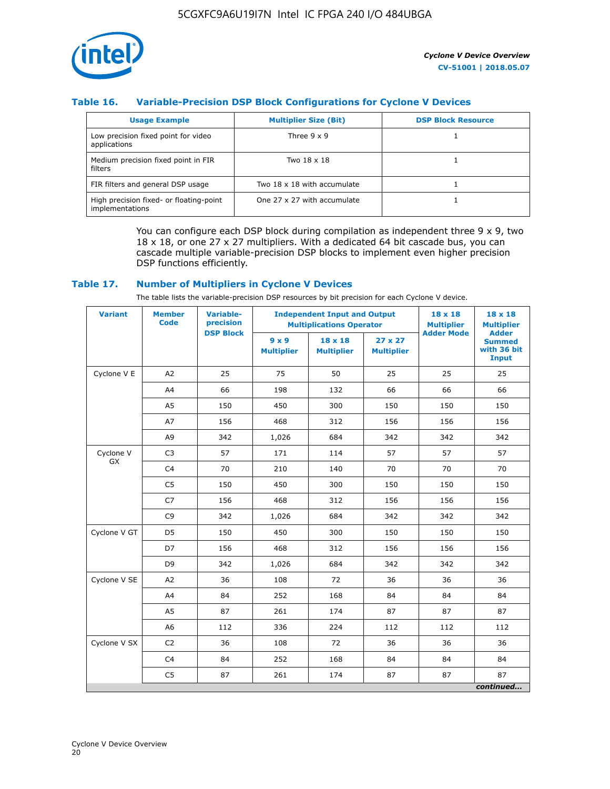

## **Table 16. Variable-Precision DSP Block Configurations for Cyclone V Devices**

| <b>Usage Example</b>                                       | <b>Multiplier Size (Bit)</b> | <b>DSP Block Resource</b> |
|------------------------------------------------------------|------------------------------|---------------------------|
| Low precision fixed point for video<br>applications        | Three $9 \times 9$           |                           |
| Medium precision fixed point in FIR<br>filters             | Two 18 x 18                  |                           |
| FIR filters and general DSP usage                          | Two 18 x 18 with accumulate  |                           |
| High precision fixed- or floating-point<br>implementations | One 27 x 27 with accumulate  |                           |

You can configure each DSP block during compilation as independent three  $9 \times 9$ , two 18 x 18, or one 27 x 27 multipliers. With a dedicated 64 bit cascade bus, you can cascade multiple variable-precision DSP blocks to implement even higher precision DSP functions efficiently.

### **Table 17. Number of Multipliers in Cyclone V Devices**

The table lists the variable-precision DSP resources by bit precision for each Cyclone V device.

| <b>Variant</b>  | <b>Member</b><br>Code | <b>Variable-</b><br>precision | <b>Independent Input and Output</b><br><b>Multiplications Operator</b> |                                     |                                     | 18 x 18<br><b>Multiplier</b> | $18 \times 18$<br><b>Multiplier</b>                          |
|-----------------|-----------------------|-------------------------------|------------------------------------------------------------------------|-------------------------------------|-------------------------------------|------------------------------|--------------------------------------------------------------|
|                 |                       | <b>DSP Block</b>              | $9 \times 9$<br><b>Multiplier</b>                                      | $18 \times 18$<br><b>Multiplier</b> | $27 \times 27$<br><b>Multiplier</b> | <b>Adder Mode</b>            | <b>Adder</b><br><b>Summed</b><br>with 36 bit<br><b>Input</b> |
| Cyclone V E     | A2                    | 25                            | 75                                                                     | 50                                  | 25                                  | 25                           | 25                                                           |
|                 | A4                    | 66                            | 198                                                                    | 132                                 | 66                                  | 66                           | 66                                                           |
|                 | A <sub>5</sub>        | 150                           | 450                                                                    | 300                                 | 150                                 | 150                          | 150                                                          |
|                 | A7                    | 156                           | 468                                                                    | 312                                 | 156                                 | 156                          | 156                                                          |
|                 | A9                    | 342                           | 1,026                                                                  | 684                                 | 342                                 | 342                          | 342                                                          |
| Cyclone V<br>GX | C <sub>3</sub>        | 57                            | 171                                                                    | 114                                 | 57                                  | 57                           | 57                                                           |
|                 | C <sub>4</sub>        | 70                            | 210                                                                    | 140                                 | 70                                  | 70                           | 70                                                           |
|                 | C <sub>5</sub>        | 150                           | 450                                                                    | 300                                 | 150                                 | 150                          | 150                                                          |
|                 | C7                    | 156                           | 468                                                                    | 312                                 | 156                                 | 156                          | 156                                                          |
|                 | C <sub>9</sub>        | 342                           | 1,026                                                                  | 684                                 | 342                                 | 342                          | 342                                                          |
| Cyclone V GT    | D <sub>5</sub>        | 150                           | 450                                                                    | 300                                 | 150                                 | 150                          | 150                                                          |
|                 | D7                    | 156                           | 468                                                                    | 312                                 | 156                                 | 156                          | 156                                                          |
|                 | D <sub>9</sub>        | 342                           | 1,026                                                                  | 684                                 | 342                                 | 342                          | 342                                                          |
| Cyclone V SE    | A <sub>2</sub>        | 36                            | 108                                                                    | 72                                  | 36                                  | 36                           | 36                                                           |
|                 | A4                    | 84                            | 252                                                                    | 168                                 | 84                                  | 84                           | 84                                                           |
|                 | A5                    | 87                            | 261                                                                    | 174                                 | 87                                  | 87                           | 87                                                           |
|                 | A <sub>6</sub>        | 112                           | 336                                                                    | 224                                 | 112                                 | 112                          | 112                                                          |
| Cyclone V SX    | C <sub>2</sub>        | 36                            | 108                                                                    | 72                                  | 36                                  | 36                           | 36                                                           |
|                 | C <sub>4</sub>        | 84                            | 252                                                                    | 168                                 | 84                                  | 84                           | 84                                                           |
|                 | C <sub>5</sub>        | 87                            | 261                                                                    | 174                                 | 87                                  | 87                           | 87                                                           |
|                 |                       |                               |                                                                        |                                     |                                     |                              | continued                                                    |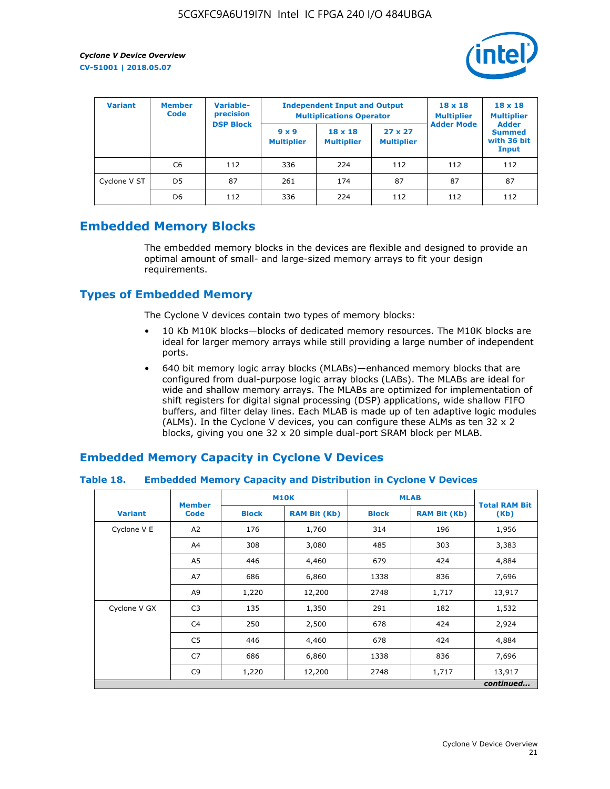

| <b>Variant</b> | <b>Member</b><br><b>Code</b> | Variable-<br>precision |                                   | <b>Independent Input and Output</b><br><b>Multiplications Operator</b> | $18 \times 18$<br><b>Multiplier</b> | $18 \times 18$<br><b>Multiplier</b><br><b>Adder</b> |                                       |
|----------------|------------------------------|------------------------|-----------------------------------|------------------------------------------------------------------------|-------------------------------------|-----------------------------------------------------|---------------------------------------|
|                |                              | <b>DSP Block</b>       | $9 \times 9$<br><b>Multiplier</b> | $18 \times 18$<br><b>Multiplier</b>                                    | $27 \times 27$<br><b>Multiplier</b> | <b>Adder Mode</b>                                   | <b>Summed</b><br>with 36 bit<br>Input |
|                | C6                           | 112                    | 336                               | 224                                                                    | 112                                 | 112                                                 | 112                                   |
| Cyclone V ST   | D <sub>5</sub>               | 87                     | 261                               | 174                                                                    | 87                                  | 87                                                  | 87                                    |
|                | D <sub>6</sub>               | 112                    | 336                               | 224                                                                    | 112                                 | 112                                                 | 112                                   |

# **Embedded Memory Blocks**

The embedded memory blocks in the devices are flexible and designed to provide an optimal amount of small- and large-sized memory arrays to fit your design requirements.

# **Types of Embedded Memory**

The Cyclone V devices contain two types of memory blocks:

- 10 Kb M10K blocks—blocks of dedicated memory resources. The M10K blocks are ideal for larger memory arrays while still providing a large number of independent ports.
- 640 bit memory logic array blocks (MLABs)—enhanced memory blocks that are configured from dual-purpose logic array blocks (LABs). The MLABs are ideal for wide and shallow memory arrays. The MLABs are optimized for implementation of shift registers for digital signal processing (DSP) applications, wide shallow FIFO buffers, and filter delay lines. Each MLAB is made up of ten adaptive logic modules (ALMs). In the Cyclone V devices, you can configure these ALMs as ten 32 x 2 blocks, giving you one 32 x 20 simple dual-port SRAM block per MLAB.

# **Embedded Memory Capacity in Cyclone V Devices**

### **Table 18. Embedded Memory Capacity and Distribution in Cyclone V Devices**

|                | <b>Member</b>  |              | <b>M10K</b>         | <b>MLAB</b>  | <b>Total RAM Bit</b> |           |
|----------------|----------------|--------------|---------------------|--------------|----------------------|-----------|
| <b>Variant</b> | <b>Code</b>    | <b>Block</b> | <b>RAM Bit (Kb)</b> | <b>Block</b> | <b>RAM Bit (Kb)</b>  | (Kb)      |
| Cyclone V E    | A2             | 176          | 1,760               | 314          | 196                  | 1,956     |
|                | A4             | 308          | 3,080               | 485          | 303                  | 3,383     |
|                | A5             | 446          | 4,460               | 679          | 424                  | 4,884     |
|                | A7             | 686          | 6,860               | 1338         | 836                  | 7,696     |
|                | A9             | 1,220        | 12,200              | 2748         | 1,717                | 13,917    |
| Cyclone V GX   | C <sub>3</sub> | 135          | 1,350               | 291          | 182                  | 1,532     |
|                | C4             | 250          | 2,500               | 678          | 424                  | 2,924     |
|                | C5             | 446          | 4,460               | 678          | 424                  | 4,884     |
|                | C7             | 686          | 6,860               | 1338         | 836                  | 7,696     |
|                | C <sub>9</sub> | 1,220        | 12,200              | 2748         | 1,717                | 13,917    |
|                |                |              |                     |              |                      | continued |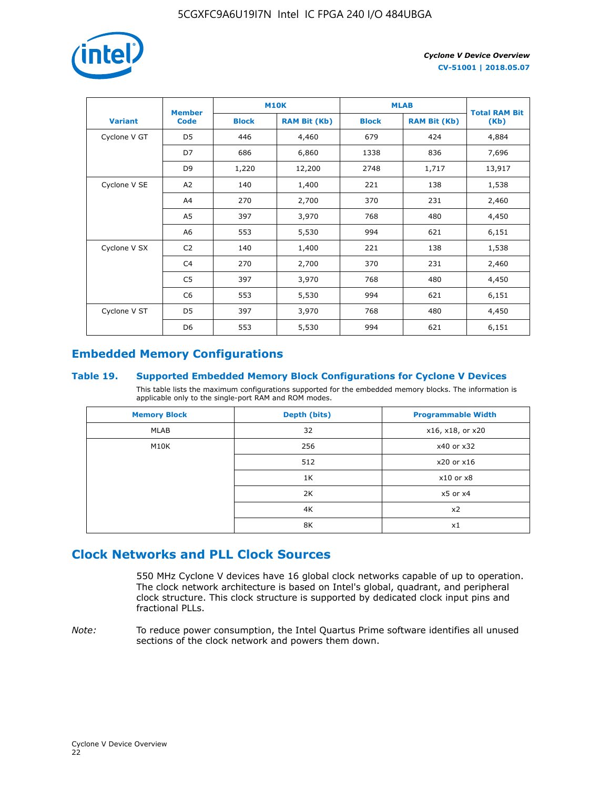

|                | <b>Member</b>  |              | <b>M10K</b>         | <b>MLAB</b>  | <b>Total RAM Bit</b> |        |  |
|----------------|----------------|--------------|---------------------|--------------|----------------------|--------|--|
| <b>Variant</b> | <b>Code</b>    | <b>Block</b> | <b>RAM Bit (Kb)</b> | <b>Block</b> | <b>RAM Bit (Kb)</b>  | (Kb)   |  |
| Cyclone V GT   | D <sub>5</sub> | 446          | 4,460               | 679          | 424                  | 4,884  |  |
|                | D7             | 686          | 6,860               | 1338         | 836                  | 7,696  |  |
|                | D <sub>9</sub> | 1,220        | 12,200              | 2748         | 1,717                | 13,917 |  |
| Cyclone V SE   | A <sub>2</sub> | 140          | 1,400               | 221          | 138                  | 1,538  |  |
|                | A4             | 270          | 2,700               | 370          | 231                  | 2,460  |  |
|                | A5             | 397          | 3,970               | 768          | 480                  | 4,450  |  |
|                | A <sub>6</sub> | 553          | 5,530               | 994          | 621                  | 6,151  |  |
| Cyclone V SX   | C <sub>2</sub> | 140          | 1,400               | 221          | 138                  | 1,538  |  |
|                | C <sub>4</sub> | 270          | 2,700               | 370          | 231                  | 2,460  |  |
|                | C <sub>5</sub> | 397          | 3,970               | 768          | 480                  | 4,450  |  |
|                | C <sub>6</sub> | 553          | 5,530               | 994          | 621                  | 6,151  |  |
| Cyclone V ST   | D <sub>5</sub> | 397          | 3,970               | 768          | 480                  | 4,450  |  |
|                | D <sub>6</sub> | 553          | 5,530               | 994          | 621                  | 6,151  |  |

# **Embedded Memory Configurations**

### **Table 19. Supported Embedded Memory Block Configurations for Cyclone V Devices**

This table lists the maximum configurations supported for the embedded memory blocks. The information is applicable only to the single-port RAM and ROM modes.

| <b>Memory Block</b> | Depth (bits) | <b>Programmable Width</b> |
|---------------------|--------------|---------------------------|
| MLAB                | 32           | x16, x18, or x20          |
| M10K                | 256          | x40 or x32                |
|                     | 512          | x20 or x16                |
|                     | 1K           | $x10$ or $x8$             |
|                     | 2K           | $x5$ or $x4$              |
|                     | 4K           | x2                        |
|                     | 8K           | x1                        |

# **Clock Networks and PLL Clock Sources**

550 MHz Cyclone V devices have 16 global clock networks capable of up to operation. The clock network architecture is based on Intel's global, quadrant, and peripheral clock structure. This clock structure is supported by dedicated clock input pins and fractional PLLs.

*Note:* To reduce power consumption, the Intel Quartus Prime software identifies all unused sections of the clock network and powers them down.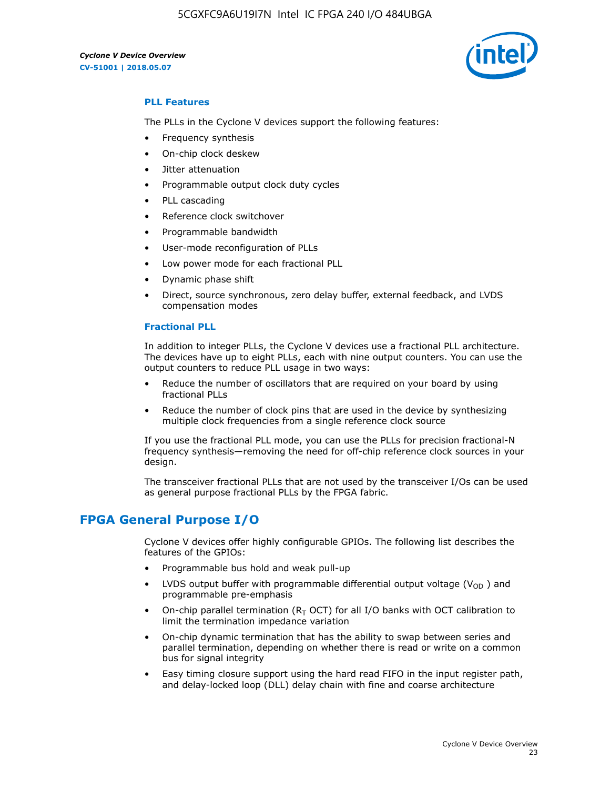

### **PLL Features**

The PLLs in the Cyclone V devices support the following features:

- Frequency synthesis
- On-chip clock deskew
- Jitter attenuation
- Programmable output clock duty cycles
- PLL cascading
- Reference clock switchover
- Programmable bandwidth
- User-mode reconfiguration of PLLs
- Low power mode for each fractional PLL
- Dynamic phase shift
- Direct, source synchronous, zero delay buffer, external feedback, and LVDS compensation modes

### **Fractional PLL**

In addition to integer PLLs, the Cyclone V devices use a fractional PLL architecture. The devices have up to eight PLLs, each with nine output counters. You can use the output counters to reduce PLL usage in two ways:

- Reduce the number of oscillators that are required on your board by using fractional PLLs
- Reduce the number of clock pins that are used in the device by synthesizing multiple clock frequencies from a single reference clock source

If you use the fractional PLL mode, you can use the PLLs for precision fractional-N frequency synthesis—removing the need for off-chip reference clock sources in your design.

The transceiver fractional PLLs that are not used by the transceiver I/Os can be used as general purpose fractional PLLs by the FPGA fabric.

# **FPGA General Purpose I/O**

Cyclone V devices offer highly configurable GPIOs. The following list describes the features of the GPIOs:

- Programmable bus hold and weak pull-up
- LVDS output buffer with programmable differential output voltage ( $V_{OD}$ ) and programmable pre-emphasis
- On-chip parallel termination ( $R<sub>T</sub>$  OCT) for all I/O banks with OCT calibration to limit the termination impedance variation
- On-chip dynamic termination that has the ability to swap between series and parallel termination, depending on whether there is read or write on a common bus for signal integrity
- Easy timing closure support using the hard read FIFO in the input register path, and delay-locked loop (DLL) delay chain with fine and coarse architecture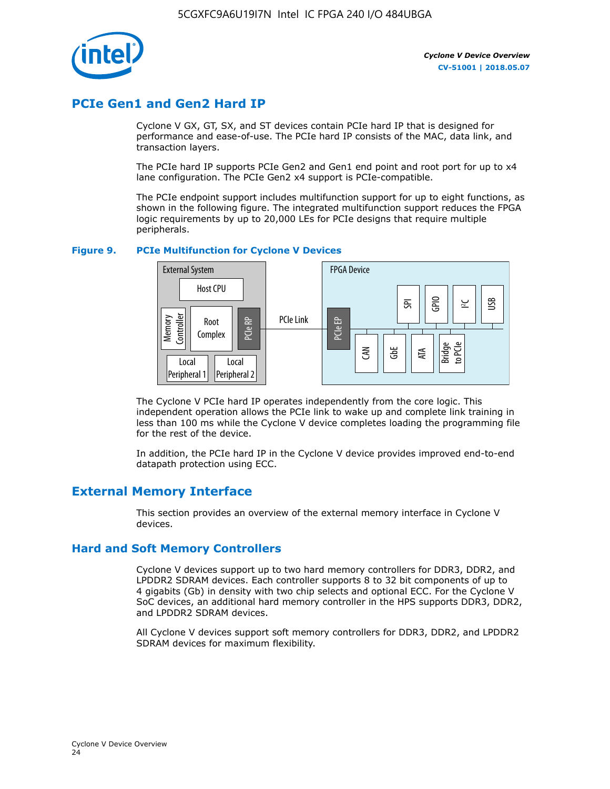

# **PCIe Gen1 and Gen2 Hard IP**

Cyclone V GX, GT, SX, and ST devices contain PCIe hard IP that is designed for performance and ease-of-use. The PCIe hard IP consists of the MAC, data link, and transaction layers.

The PCIe hard IP supports PCIe Gen2 and Gen1 end point and root port for up to x4 lane configuration. The PCIe Gen2 x4 support is PCIe-compatible.

The PCIe endpoint support includes multifunction support for up to eight functions, as shown in the following figure. The integrated multifunction support reduces the FPGA logic requirements by up to 20,000 LEs for PCIe designs that require multiple peripherals.

### **Figure 9. PCIe Multifunction for Cyclone V Devices**



The Cyclone V PCIe hard IP operates independently from the core logic. This independent operation allows the PCIe link to wake up and complete link training in less than 100 ms while the Cyclone V device completes loading the programming file for the rest of the device.

In addition, the PCIe hard IP in the Cyclone V device provides improved end-to-end datapath protection using ECC.

# **External Memory Interface**

This section provides an overview of the external memory interface in Cyclone V devices.

### **Hard and Soft Memory Controllers**

Cyclone V devices support up to two hard memory controllers for DDR3, DDR2, and LPDDR2 SDRAM devices. Each controller supports 8 to 32 bit components of up to 4 gigabits (Gb) in density with two chip selects and optional ECC. For the Cyclone V SoC devices, an additional hard memory controller in the HPS supports DDR3, DDR2, and LPDDR2 SDRAM devices.

All Cyclone V devices support soft memory controllers for DDR3, DDR2, and LPDDR2 SDRAM devices for maximum flexibility.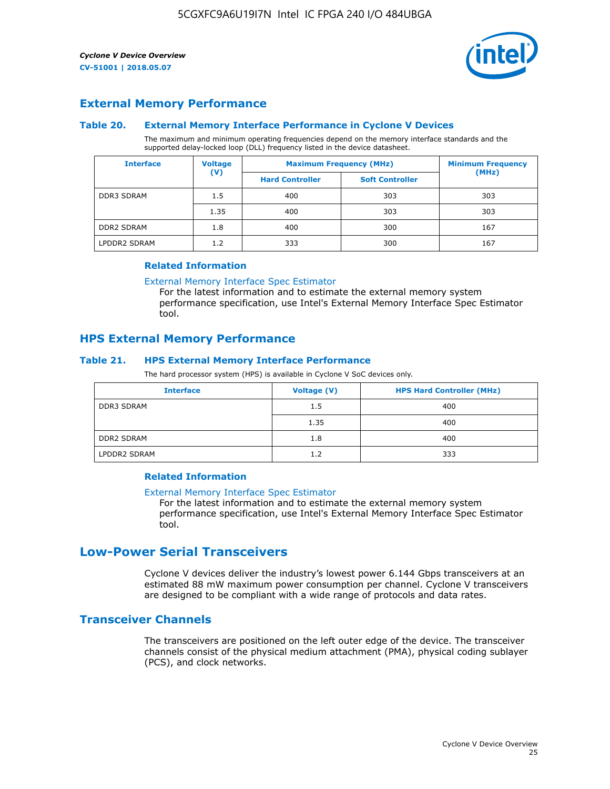

# **External Memory Performance**

### **Table 20. External Memory Interface Performance in Cyclone V Devices**

The maximum and minimum operating frequencies depend on the memory interface standards and the supported delay-locked loop (DLL) frequency listed in the device datasheet.

| <b>Interface</b>  | <b>Voltage</b> | <b>Maximum Frequency (MHz)</b> | <b>Minimum Frequency</b> |       |  |
|-------------------|----------------|--------------------------------|--------------------------|-------|--|
|                   | $(\mathsf{V})$ | <b>Hard Controller</b>         | <b>Soft Controller</b>   | (MHz) |  |
| <b>DDR3 SDRAM</b> | 1.5            | 400                            | 303                      | 303   |  |
|                   | 1.35           | 400                            | 303                      | 303   |  |
| <b>DDR2 SDRAM</b> | 1.8            | 400                            | 300                      | 167   |  |
| LPDDR2 SDRAM      | 1.2            | 333                            | 300                      | 167   |  |

### **Related Information**

[External Memory Interface Spec Estimator](https://www.altera.com/solutions/technology/external-memory/spec-estimator.html)

For the latest information and to estimate the external memory system performance specification, use Intel's External Memory Interface Spec Estimator tool.

### **HPS External Memory Performance**

### **Table 21. HPS External Memory Interface Performance**

The hard processor system (HPS) is available in Cyclone V SoC devices only.

| <b>Interface</b>  | <b>Voltage (V)</b> | <b>HPS Hard Controller (MHz)</b> |
|-------------------|--------------------|----------------------------------|
| <b>DDR3 SDRAM</b> | 1.5                | 400                              |
|                   | 1.35               | 400                              |
| <b>DDR2 SDRAM</b> | 1.8                | 400                              |
| LPDDR2 SDRAM      | 1.2                | 333                              |

### **Related Information**

#### [External Memory Interface Spec Estimator](https://www.altera.com/solutions/technology/external-memory/spec-estimator.html)

For the latest information and to estimate the external memory system performance specification, use Intel's External Memory Interface Spec Estimator tool.

# **Low-Power Serial Transceivers**

Cyclone V devices deliver the industry's lowest power 6.144 Gbps transceivers at an estimated 88 mW maximum power consumption per channel. Cyclone V transceivers are designed to be compliant with a wide range of protocols and data rates.

# **Transceiver Channels**

The transceivers are positioned on the left outer edge of the device. The transceiver channels consist of the physical medium attachment (PMA), physical coding sublayer (PCS), and clock networks.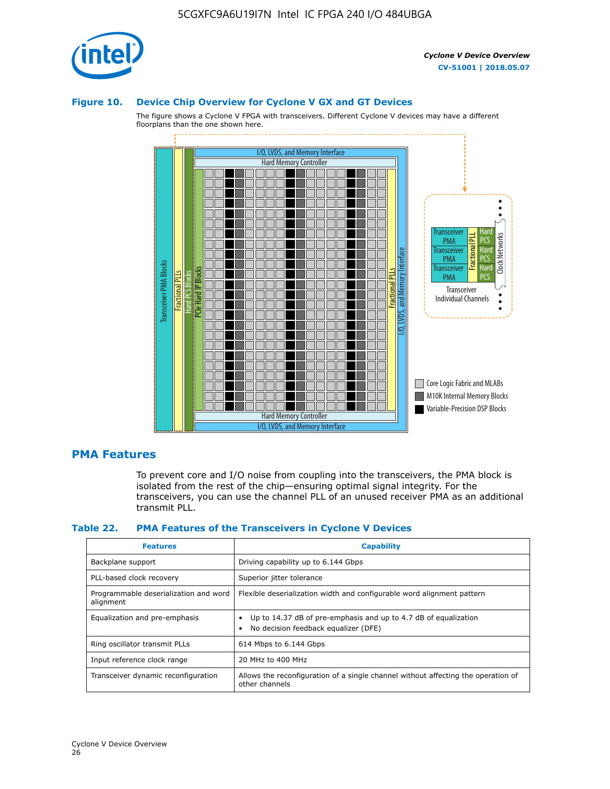

### **Figure 10. Device Chip Overview for Cyclone V GX and GT Devices**

The figure shows a Cyclone V FPGA with transceivers. Different Cyclone V devices may have a different floorplans than the one shown here.



### **PMA Features**

To prevent core and I/O noise from coupling into the transceivers, the PMA block is isolated from the rest of the chip—ensuring optimal signal integrity. For the transceivers, you can use the channel PLL of an unused receiver PMA as an additional transmit PLL.

#### **Table 22. PMA Features of the Transceivers in Cyclone V Devices**

| <b>Features</b>                                    | <b>Capability</b>                                                                                       |
|----------------------------------------------------|---------------------------------------------------------------------------------------------------------|
| Backplane support                                  | Driving capability up to 6.144 Gbps                                                                     |
| PLL-based clock recovery                           | Superior jitter tolerance                                                                               |
| Programmable deserialization and word<br>alignment | Flexible deserialization width and configurable word alignment pattern                                  |
| Equalization and pre-emphasis                      | Up to 14.37 dB of pre-emphasis and up to 4.7 dB of equalization<br>No decision feedback equalizer (DFE) |
| Ring oscillator transmit PLLs                      | 614 Mbps to 6.144 Gbps                                                                                  |
| Input reference clock range                        | 20 MHz to 400 MHz                                                                                       |
| Transceiver dynamic reconfiguration                | Allows the reconfiguration of a single channel without affecting the operation of<br>other channels     |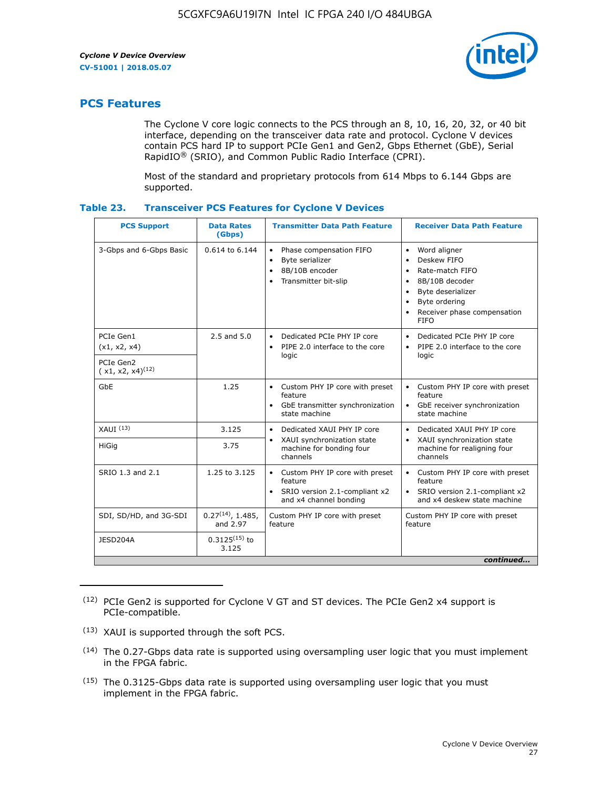

# **PCS Features**

The Cyclone V core logic connects to the PCS through an 8, 10, 16, 20, 32, or 40 bit interface, depending on the transceiver data rate and protocol. Cyclone V devices contain PCS hard IP to support PCIe Gen1 and Gen2, Gbps Ethernet (GbE), Serial RapidIO® (SRIO), and Common Public Radio Interface (CPRI).

Most of the standard and proprietary protocols from 614 Mbps to 6.144 Gbps are supported.

|  | Table 23. | <b>Transceiver PCS Features for Cyclone V Devices</b> |  |  |  |  |  |  |
|--|-----------|-------------------------------------------------------|--|--|--|--|--|--|
|--|-----------|-------------------------------------------------------|--|--|--|--|--|--|

| <b>PCS Support</b>                 | <b>Data Rates</b><br>(Gbps)        | <b>Transmitter Data Path Feature</b>                                                                         | <b>Receiver Data Path Feature</b>                                                                                                                                                                                                  |
|------------------------------------|------------------------------------|--------------------------------------------------------------------------------------------------------------|------------------------------------------------------------------------------------------------------------------------------------------------------------------------------------------------------------------------------------|
| 3-Gbps and 6-Gbps Basic            | 0.614 to 6.144                     | • Phase compensation FIFO<br>Byte serializer<br>8B/10B encoder<br>Transmitter bit-slip                       | Word aligner<br>$\bullet$<br>Deskew FIFO<br>$\bullet$<br>Rate-match FIFO<br>$\bullet$<br>8B/10B decoder<br>$\bullet$<br>Byte deserializer<br>$\bullet$<br>Byte ordering<br>$\bullet$<br>Receiver phase compensation<br><b>FIFO</b> |
| PCIe Gen1<br>(x1, x2, x4)          | $2.5$ and $5.0$                    | Dedicated PCIe PHY IP core<br>PIPE 2.0 interface to the core<br>$\bullet$<br>logic                           | Dedicated PCIe PHY IP core<br>$\bullet$<br>PIPE 2.0 interface to the core<br>$\bullet$<br>logic                                                                                                                                    |
| PCIe Gen2<br>$(x1, x2, x4)^{(12)}$ |                                    |                                                                                                              |                                                                                                                                                                                                                                    |
| GbE                                | 1.25                               | • Custom PHY IP core with preset<br>feature<br>GbE transmitter synchronization<br>$\bullet$<br>state machine | • Custom PHY IP core with preset<br>feature<br>GbE receiver synchronization<br>state machine                                                                                                                                       |
| $XAUI$ $(13)$                      | 3.125                              | Dedicated XAUI PHY IP core<br>$\bullet$                                                                      | Dedicated XAUI PHY IP core<br>$\bullet$                                                                                                                                                                                            |
| <b>HiGig</b>                       | 3.75                               | XAUI synchronization state<br>$\bullet$<br>machine for bonding four<br>channels                              | XAUI synchronization state<br>$\bullet$<br>machine for realigning four<br>channels                                                                                                                                                 |
| SRIO 1.3 and 2.1                   | 1.25 to 3.125                      | • Custom PHY IP core with preset<br>feature<br>• SRIO version 2.1-compliant x2<br>and x4 channel bonding     | • Custom PHY IP core with preset<br>feature<br>• SRIO version 2.1-compliant x2<br>and x4 deskew state machine                                                                                                                      |
| SDI, SD/HD, and 3G-SDI             | $0.27^{(14)}$ , 1.485,<br>and 2.97 | Custom PHY IP core with preset<br>feature                                                                    | Custom PHY IP core with preset<br>feature                                                                                                                                                                                          |
| JESD204A                           | $0.3125^{(15)}$ to<br>3.125        |                                                                                                              |                                                                                                                                                                                                                                    |
|                                    |                                    |                                                                                                              | continued                                                                                                                                                                                                                          |

<sup>(12)</sup> PCIe Gen2 is supported for Cyclone V GT and ST devices. The PCIe Gen2 x4 support is PCIe-compatible.

<sup>(13)</sup> XAUI is supported through the soft PCS.

<sup>(14)</sup> The 0.27-Gbps data rate is supported using oversampling user logic that you must implement in the FPGA fabric.

<sup>(15)</sup> The 0.3125-Gbps data rate is supported using oversampling user logic that you must implement in the FPGA fabric.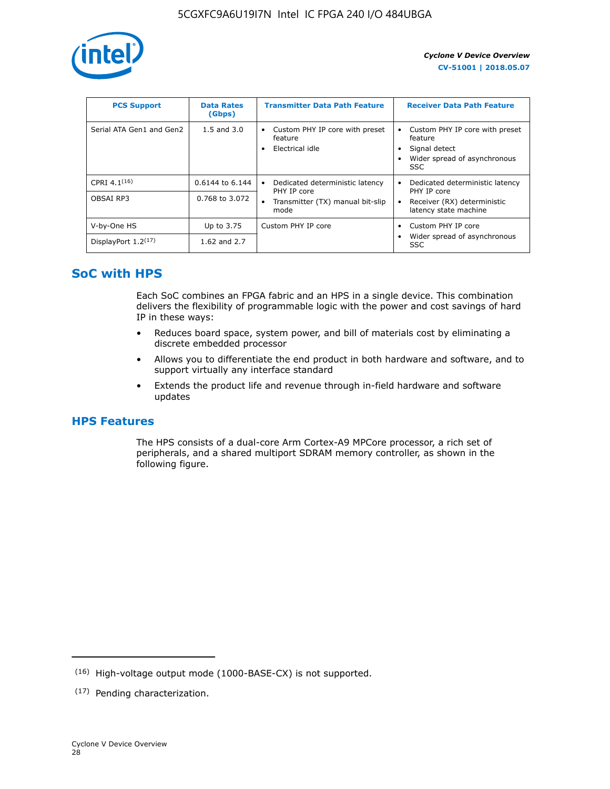

| <b>PCS Support</b>       | <b>Data Rates</b><br>(Gbps) | <b>Transmitter Data Path Feature</b>                         | <b>Receiver Data Path Feature</b>                                                                        |
|--------------------------|-----------------------------|--------------------------------------------------------------|----------------------------------------------------------------------------------------------------------|
| Serial ATA Gen1 and Gen2 | $1.5$ and $3.0$             | Custom PHY IP core with preset<br>feature<br>Electrical idle | Custom PHY IP core with preset<br>feature<br>Signal detect<br>Wider spread of asynchronous<br><b>SSC</b> |
| CPRI $4.1^{(16)}$        | $0.6144$ to 6.144           | Dedicated deterministic latency<br>٠<br>PHY IP core          | Dedicated deterministic latency<br>PHY IP core                                                           |
| OBSAI RP3                | 0.768 to 3.072              | Transmitter (TX) manual bit-slip<br>mode                     | Receiver (RX) deterministic<br>latency state machine                                                     |
| V-by-One HS              | Up to 3.75                  | Custom PHY IP core                                           | Custom PHY IP core<br>$\bullet$                                                                          |
| DisplayPort $1.2^{(17)}$ | 1.62 and $2.7$              |                                                              | Wider spread of asynchronous<br><b>SSC</b>                                                               |

# **SoC with HPS**

Each SoC combines an FPGA fabric and an HPS in a single device. This combination delivers the flexibility of programmable logic with the power and cost savings of hard IP in these ways:

- Reduces board space, system power, and bill of materials cost by eliminating a discrete embedded processor
- Allows you to differentiate the end product in both hardware and software, and to support virtually any interface standard
- Extends the product life and revenue through in-field hardware and software updates

# **HPS Features**

The HPS consists of a dual-core Arm Cortex-A9 MPCore processor, a rich set of peripherals, and a shared multiport SDRAM memory controller, as shown in the following figure.

<sup>(16)</sup> High-voltage output mode (1000-BASE-CX) is not supported.

<sup>(17)</sup> Pending characterization.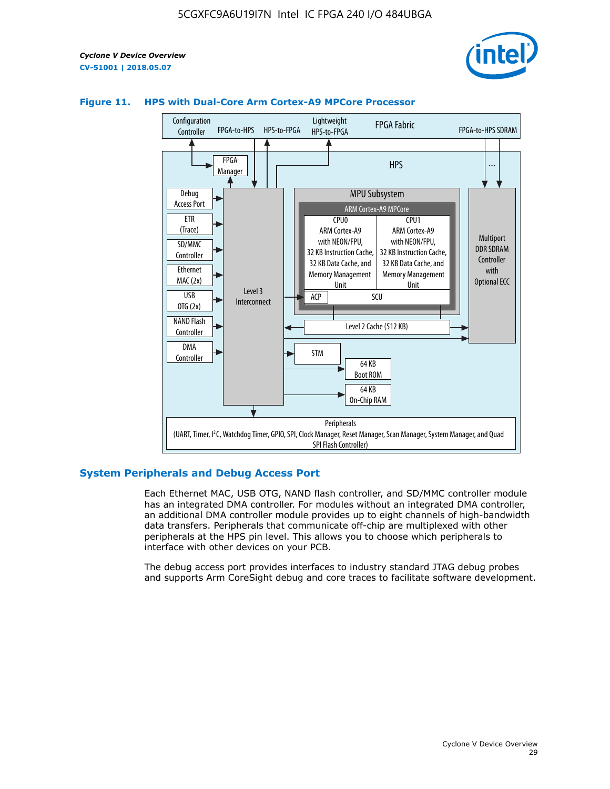



### **Figure 11. HPS with Dual-Core Arm Cortex-A9 MPCore Processor**

### **System Peripherals and Debug Access Port**

Each Ethernet MAC, USB OTG, NAND flash controller, and SD/MMC controller module has an integrated DMA controller. For modules without an integrated DMA controller, an additional DMA controller module provides up to eight channels of high-bandwidth data transfers. Peripherals that communicate off-chip are multiplexed with other peripherals at the HPS pin level. This allows you to choose which peripherals to interface with other devices on your PCB.

The debug access port provides interfaces to industry standard JTAG debug probes and supports Arm CoreSight debug and core traces to facilitate software development.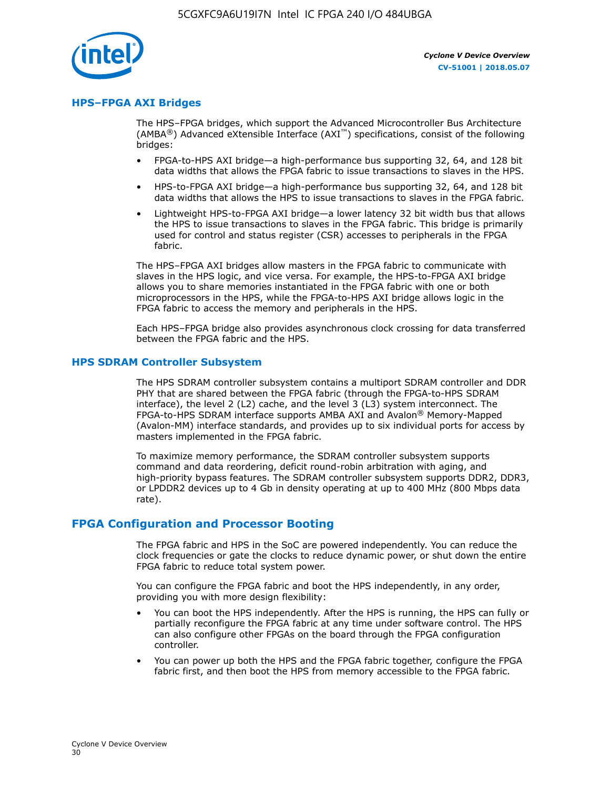

### **HPS–FPGA AXI Bridges**

The HPS–FPGA bridges, which support the Advanced Microcontroller Bus Architecture (AMBA<sup>®</sup>) Advanced eXtensible Interface (AXI<sup>™</sup>) specifications, consist of the following bridges:

- FPGA-to-HPS AXI bridge—a high-performance bus supporting 32, 64, and 128 bit data widths that allows the FPGA fabric to issue transactions to slaves in the HPS.
- HPS-to-FPGA AXI bridge—a high-performance bus supporting 32, 64, and 128 bit data widths that allows the HPS to issue transactions to slaves in the FPGA fabric.
- Lightweight HPS-to-FPGA AXI bridge—a lower latency 32 bit width bus that allows the HPS to issue transactions to slaves in the FPGA fabric. This bridge is primarily used for control and status register (CSR) accesses to peripherals in the FPGA fabric.

The HPS–FPGA AXI bridges allow masters in the FPGA fabric to communicate with slaves in the HPS logic, and vice versa. For example, the HPS-to-FPGA AXI bridge allows you to share memories instantiated in the FPGA fabric with one or both microprocessors in the HPS, while the FPGA-to-HPS AXI bridge allows logic in the FPGA fabric to access the memory and peripherals in the HPS.

Each HPS–FPGA bridge also provides asynchronous clock crossing for data transferred between the FPGA fabric and the HPS.

### **HPS SDRAM Controller Subsystem**

The HPS SDRAM controller subsystem contains a multiport SDRAM controller and DDR PHY that are shared between the FPGA fabric (through the FPGA-to-HPS SDRAM interface), the level 2 (L2) cache, and the level 3 (L3) system interconnect. The FPGA-to-HPS SDRAM interface supports AMBA AXI and Avalon® Memory-Mapped (Avalon-MM) interface standards, and provides up to six individual ports for access by masters implemented in the FPGA fabric.

To maximize memory performance, the SDRAM controller subsystem supports command and data reordering, deficit round-robin arbitration with aging, and high-priority bypass features. The SDRAM controller subsystem supports DDR2, DDR3, or LPDDR2 devices up to 4 Gb in density operating at up to 400 MHz (800 Mbps data rate).

### **FPGA Configuration and Processor Booting**

The FPGA fabric and HPS in the SoC are powered independently. You can reduce the clock frequencies or gate the clocks to reduce dynamic power, or shut down the entire FPGA fabric to reduce total system power.

You can configure the FPGA fabric and boot the HPS independently, in any order, providing you with more design flexibility:

- You can boot the HPS independently. After the HPS is running, the HPS can fully or partially reconfigure the FPGA fabric at any time under software control. The HPS can also configure other FPGAs on the board through the FPGA configuration controller.
- You can power up both the HPS and the FPGA fabric together, configure the FPGA fabric first, and then boot the HPS from memory accessible to the FPGA fabric.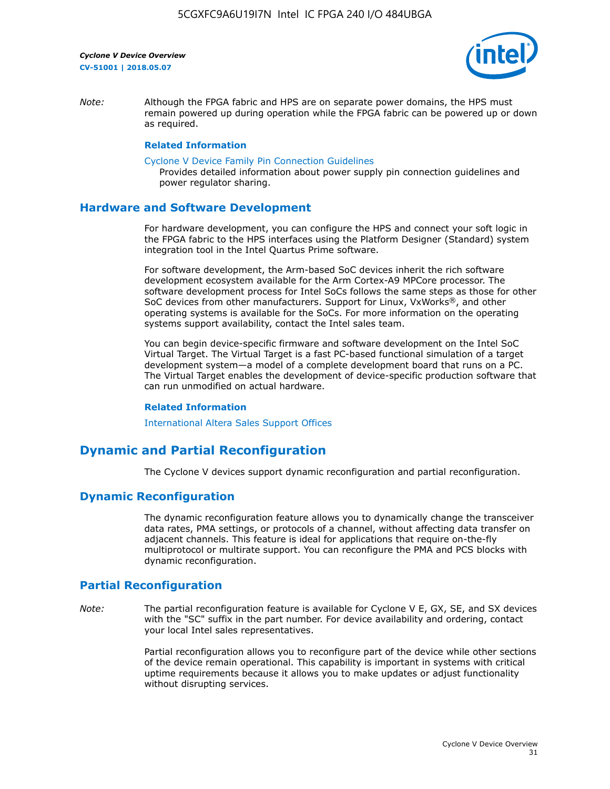

*Note:* Although the FPGA fabric and HPS are on separate power domains, the HPS must remain powered up during operation while the FPGA fabric can be powered up or down as required.

### **Related Information**

[Cyclone V Device Family Pin Connection Guidelines](https://www.altera.com/content/dam/altera-www/global/en_US/pdfs/literature/dp/cyclone-v/pcg-01014.pdf)

Provides detailed information about power supply pin connection guidelines and power regulator sharing.

### **Hardware and Software Development**

For hardware development, you can configure the HPS and connect your soft logic in the FPGA fabric to the HPS interfaces using the Platform Designer (Standard) system integration tool in the Intel Quartus Prime software.

For software development, the Arm-based SoC devices inherit the rich software development ecosystem available for the Arm Cortex-A9 MPCore processor. The software development process for Intel SoCs follows the same steps as those for other SoC devices from other manufacturers. Support for Linux, VxWorks®, and other operating systems is available for the SoCs. For more information on the operating systems support availability, contact the Intel sales team.

You can begin device-specific firmware and software development on the Intel SoC Virtual Target. The Virtual Target is a fast PC-based functional simulation of a target development system—a model of a complete development board that runs on a PC. The Virtual Target enables the development of device-specific production software that can run unmodified on actual hardware.

#### **Related Information**

[International Altera Sales Support Offices](https://www.altera.com/about/contact/contact/international-altera-sales-offices.html)

# **Dynamic and Partial Reconfiguration**

The Cyclone V devices support dynamic reconfiguration and partial reconfiguration.

### **Dynamic Reconfiguration**

The dynamic reconfiguration feature allows you to dynamically change the transceiver data rates, PMA settings, or protocols of a channel, without affecting data transfer on adjacent channels. This feature is ideal for applications that require on-the-fly multiprotocol or multirate support. You can reconfigure the PMA and PCS blocks with dynamic reconfiguration.

# **Partial Reconfiguration**

*Note:* The partial reconfiguration feature is available for Cyclone V E, GX, SE, and SX devices with the "SC" suffix in the part number. For device availability and ordering, contact your local Intel sales representatives.

> Partial reconfiguration allows you to reconfigure part of the device while other sections of the device remain operational. This capability is important in systems with critical uptime requirements because it allows you to make updates or adjust functionality without disrupting services.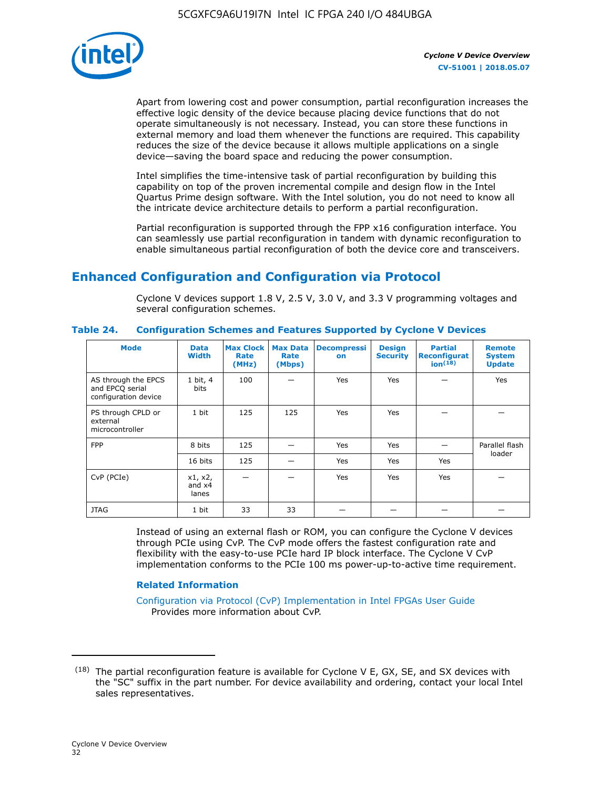

Apart from lowering cost and power consumption, partial reconfiguration increases the effective logic density of the device because placing device functions that do not operate simultaneously is not necessary. Instead, you can store these functions in external memory and load them whenever the functions are required. This capability reduces the size of the device because it allows multiple applications on a single device—saving the board space and reducing the power consumption.

Intel simplifies the time-intensive task of partial reconfiguration by building this capability on top of the proven incremental compile and design flow in the Intel Quartus Prime design software. With the Intel solution, you do not need to know all the intricate device architecture details to perform a partial reconfiguration.

Partial reconfiguration is supported through the FPP x16 configuration interface. You can seamlessly use partial reconfiguration in tandem with dynamic reconfiguration to enable simultaneous partial reconfiguration of both the device core and transceivers.

# **Enhanced Configuration and Configuration via Protocol**

Cyclone V devices support 1.8 V, 2.5 V, 3.0 V, and 3.3 V programming voltages and several configuration schemes.

| <b>Mode</b>                                                    | <b>Data</b><br>Width         | Max Clock  <br>Rate<br>(MHz) | <b>Max Data</b><br>Rate<br>(Mbps) | <b>Decompressi</b><br>on | <b>Design</b><br><b>Security</b> | <b>Partial</b><br>Reconfigurat<br>ion <sup>(18)</sup> | <b>Remote</b><br><b>System</b><br><b>Update</b> |
|----------------------------------------------------------------|------------------------------|------------------------------|-----------------------------------|--------------------------|----------------------------------|-------------------------------------------------------|-------------------------------------------------|
| AS through the EPCS<br>and EPCQ serial<br>configuration device | 1 bit, 4<br>bits             | 100                          |                                   | Yes                      | <b>Yes</b>                       |                                                       | Yes                                             |
| PS through CPLD or<br>external<br>microcontroller              | 1 bit                        | 125                          | 125                               | Yes                      | Yes                              |                                                       |                                                 |
| <b>FPP</b>                                                     | 8 bits                       | 125                          |                                   | Yes                      | <b>Yes</b>                       |                                                       | Parallel flash                                  |
|                                                                | 16 bits                      | 125                          |                                   | Yes                      | <b>Yes</b>                       | Yes                                                   | loader                                          |
| CvP (PCIe)                                                     | x1, x2,<br>and $x4$<br>lanes |                              |                                   | Yes                      | <b>Yes</b>                       | Yes                                                   |                                                 |
| <b>JTAG</b>                                                    | 1 bit                        | 33                           | 33                                |                          |                                  |                                                       |                                                 |

**Table 24. Configuration Schemes and Features Supported by Cyclone V Devices**

Instead of using an external flash or ROM, you can configure the Cyclone V devices through PCIe using CvP. The CvP mode offers the fastest configuration rate and flexibility with the easy-to-use PCIe hard IP block interface. The Cyclone V CvP implementation conforms to the PCIe 100 ms power-up-to-active time requirement.

### **Related Information**

[Configuration via Protocol \(CvP\) Implementation in Intel FPGAs User Guide](https://www.altera.com/documentation/nik1412546950394.html#nik1412546833714) Provides more information about CvP.

 $(18)$  The partial reconfiguration feature is available for Cyclone V E, GX, SE, and SX devices with the "SC" suffix in the part number. For device availability and ordering, contact your local Intel sales representatives.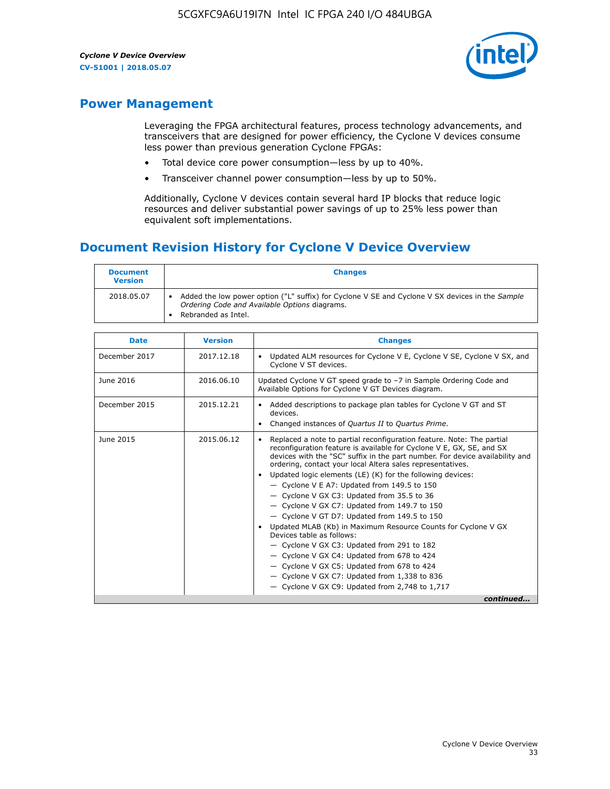

# **Power Management**

Leveraging the FPGA architectural features, process technology advancements, and transceivers that are designed for power efficiency, the Cyclone V devices consume less power than previous generation Cyclone FPGAs:

- Total device core power consumption—less by up to 40%.
- Transceiver channel power consumption—less by up to 50%.

Additionally, Cyclone V devices contain several hard IP blocks that reduce logic resources and deliver substantial power savings of up to 25% less power than equivalent soft implementations.

# **Document Revision History for Cyclone V Device Overview**

| <b>Document</b><br><b>Version</b> | <b>Changes</b>                                                                                                                                                          |
|-----------------------------------|-------------------------------------------------------------------------------------------------------------------------------------------------------------------------|
| 2018.05.07                        | Added the low power option ("L" suffix) for Cyclone V SE and Cyclone V SX devices in the Sample<br>Ordering Code and Available Options diagrams.<br>Rebranded as Intel. |

| <b>Date</b>   | <b>Version</b> | <b>Changes</b>                                                                                                                                                                                                                                                                                                                                                                                                                                                                                                                                                                                                                                                                                                                                                                                                                                                                                                    |
|---------------|----------------|-------------------------------------------------------------------------------------------------------------------------------------------------------------------------------------------------------------------------------------------------------------------------------------------------------------------------------------------------------------------------------------------------------------------------------------------------------------------------------------------------------------------------------------------------------------------------------------------------------------------------------------------------------------------------------------------------------------------------------------------------------------------------------------------------------------------------------------------------------------------------------------------------------------------|
| December 2017 | 2017.12.18     | Updated ALM resources for Cyclone V E, Cyclone V SE, Cyclone V SX, and<br>Cyclone V ST devices.                                                                                                                                                                                                                                                                                                                                                                                                                                                                                                                                                                                                                                                                                                                                                                                                                   |
| June 2016     | 2016.06.10     | Updated Cyclone V GT speed grade to -7 in Sample Ordering Code and<br>Available Options for Cyclone V GT Devices diagram.                                                                                                                                                                                                                                                                                                                                                                                                                                                                                                                                                                                                                                                                                                                                                                                         |
| December 2015 | 2015.12.21     | Added descriptions to package plan tables for Cyclone V GT and ST<br>devices.<br>Changed instances of Quartus II to Quartus Prime.<br>$\bullet$                                                                                                                                                                                                                                                                                                                                                                                                                                                                                                                                                                                                                                                                                                                                                                   |
| June 2015     | 2015.06.12     | Replaced a note to partial reconfiguration feature. Note: The partial<br>reconfiguration feature is available for Cyclone V E, GX, SE, and SX<br>devices with the "SC" suffix in the part number. For device availability and<br>ordering, contact your local Altera sales representatives.<br>Updated logic elements (LE) (K) for the following devices:<br>$\bullet$<br>$-$ Cyclone V E A7: Updated from 149.5 to 150<br>- Cyclone V GX C3: Updated from 35.5 to 36<br>- Cyclone V GX C7: Updated from 149.7 to 150<br>- Cyclone V GT D7: Updated from 149.5 to 150<br>Updated MLAB (Kb) in Maximum Resource Counts for Cyclone V GX<br>Devices table as follows:<br>- Cyclone V GX C3: Updated from 291 to 182<br>- Cyclone V GX C4: Updated from 678 to 424<br>- Cyclone V GX C5: Updated from 678 to 424<br>- Cyclone V GX C7: Updated from 1,338 to 836<br>$-$ Cyclone V GX C9: Updated from 2,748 to 1,717 |
|               |                | continued                                                                                                                                                                                                                                                                                                                                                                                                                                                                                                                                                                                                                                                                                                                                                                                                                                                                                                         |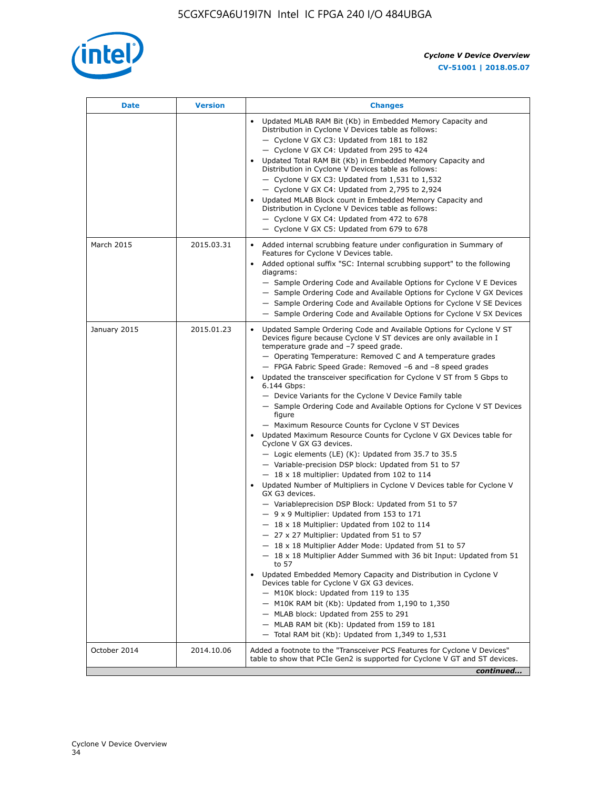

| <b>Date</b>  | <b>Version</b> | <b>Changes</b>                                                                                                                                                                                                                                                                                                                                                                                                                                                                                                                                                                                                                                                                                                                                                                                                                                                                                                                                                                                                                                                                                                                                                                                                                                                                                                                                                                                                                                                                                                                                                                                                                                                                                                  |
|--------------|----------------|-----------------------------------------------------------------------------------------------------------------------------------------------------------------------------------------------------------------------------------------------------------------------------------------------------------------------------------------------------------------------------------------------------------------------------------------------------------------------------------------------------------------------------------------------------------------------------------------------------------------------------------------------------------------------------------------------------------------------------------------------------------------------------------------------------------------------------------------------------------------------------------------------------------------------------------------------------------------------------------------------------------------------------------------------------------------------------------------------------------------------------------------------------------------------------------------------------------------------------------------------------------------------------------------------------------------------------------------------------------------------------------------------------------------------------------------------------------------------------------------------------------------------------------------------------------------------------------------------------------------------------------------------------------------------------------------------------------------|
|              |                | Updated MLAB RAM Bit (Kb) in Embedded Memory Capacity and<br>Distribution in Cyclone V Devices table as follows:<br>- Cyclone V GX C3: Updated from 181 to 182<br>- Cyclone V GX C4: Updated from 295 to 424<br>Updated Total RAM Bit (Kb) in Embedded Memory Capacity and<br>Distribution in Cyclone V Devices table as follows:<br>- Cyclone V GX C3: Updated from $1,531$ to $1,532$<br>- Cyclone V GX C4: Updated from 2,795 to 2,924<br>Updated MLAB Block count in Embedded Memory Capacity and<br>Distribution in Cyclone V Devices table as follows:<br>- Cyclone V GX C4: Updated from 472 to 678<br>- Cyclone V GX C5: Updated from 679 to 678                                                                                                                                                                                                                                                                                                                                                                                                                                                                                                                                                                                                                                                                                                                                                                                                                                                                                                                                                                                                                                                        |
| March 2015   | 2015.03.31     | Added internal scrubbing feature under configuration in Summary of<br>$\bullet$<br>Features for Cyclone V Devices table.<br>Added optional suffix "SC: Internal scrubbing support" to the following<br>diagrams:<br>- Sample Ordering Code and Available Options for Cyclone V E Devices<br>- Sample Ordering Code and Available Options for Cyclone V GX Devices<br>- Sample Ordering Code and Available Options for Cyclone V SE Devices<br>- Sample Ordering Code and Available Options for Cyclone V SX Devices                                                                                                                                                                                                                                                                                                                                                                                                                                                                                                                                                                                                                                                                                                                                                                                                                                                                                                                                                                                                                                                                                                                                                                                             |
| January 2015 | 2015.01.23     | Updated Sample Ordering Code and Available Options for Cyclone V ST<br>Devices figure because Cyclone V ST devices are only available in I<br>temperature grade and -7 speed grade.<br>- Operating Temperature: Removed C and A temperature grades<br>- FPGA Fabric Speed Grade: Removed -6 and -8 speed grades<br>Updated the transceiver specification for Cyclone V ST from 5 Gbps to<br>6.144 Gbps:<br>- Device Variants for the Cyclone V Device Family table<br>- Sample Ordering Code and Available Options for Cyclone V ST Devices<br>figure<br>- Maximum Resource Counts for Cyclone V ST Devices<br>Updated Maximum Resource Counts for Cyclone V GX Devices table for<br>Cyclone V GX G3 devices.<br>$-$ Logic elements (LE) (K): Updated from 35.7 to 35.5<br>- Variable-precision DSP block: Updated from 51 to 57<br>$-18 \times 18$ multiplier: Updated from 102 to 114<br>Updated Number of Multipliers in Cyclone V Devices table for Cyclone V<br>GX G3 devices.<br>- Variableprecision DSP Block: Updated from 51 to 57<br>$-9x9$ Multiplier: Updated from 153 to 171<br>$-18 \times 18$ Multiplier: Updated from 102 to 114<br>- 27 x 27 Multiplier: Updated from 51 to 57<br>- 18 x 18 Multiplier Adder Mode: Updated from 51 to 57<br>$-18 \times 18$ Multiplier Adder Summed with 36 bit Input: Updated from 51<br>to 57<br>Updated Embedded Memory Capacity and Distribution in Cyclone V<br>Devices table for Cyclone V GX G3 devices.<br>- M10K block: Updated from 119 to 135<br>$-$ M10K RAM bit (Kb): Updated from 1,190 to 1,350<br>- MLAB block: Updated from 255 to 291<br>- MLAB RAM bit (Kb): Updated from 159 to 181<br>$-$ Total RAM bit (Kb): Updated from 1,349 to 1,531 |
| October 2014 | 2014.10.06     | Added a footnote to the "Transceiver PCS Features for Cyclone V Devices"<br>table to show that PCIe Gen2 is supported for Cyclone V GT and ST devices.                                                                                                                                                                                                                                                                                                                                                                                                                                                                                                                                                                                                                                                                                                                                                                                                                                                                                                                                                                                                                                                                                                                                                                                                                                                                                                                                                                                                                                                                                                                                                          |
|              |                | continued                                                                                                                                                                                                                                                                                                                                                                                                                                                                                                                                                                                                                                                                                                                                                                                                                                                                                                                                                                                                                                                                                                                                                                                                                                                                                                                                                                                                                                                                                                                                                                                                                                                                                                       |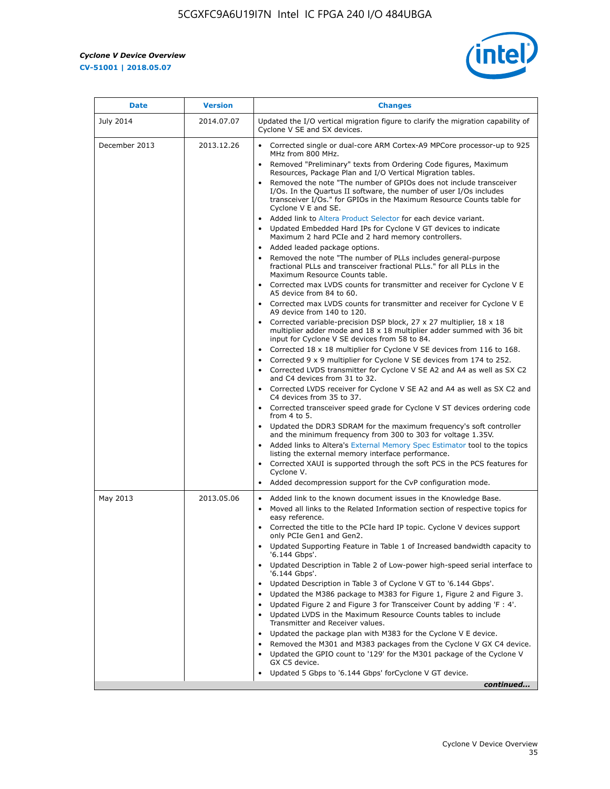$\overline{\mathbf{r}}$ 

 $\mathsf{r}$ 



| <b>Date</b>   | <b>Version</b> | <b>Changes</b>                                                                                                                                                                                                                                                                                                                                                                                                                                                                                                                                                                                                                                                                                                                                                                                                                                                                                                                                                                                                                                                                                                                       |
|---------------|----------------|--------------------------------------------------------------------------------------------------------------------------------------------------------------------------------------------------------------------------------------------------------------------------------------------------------------------------------------------------------------------------------------------------------------------------------------------------------------------------------------------------------------------------------------------------------------------------------------------------------------------------------------------------------------------------------------------------------------------------------------------------------------------------------------------------------------------------------------------------------------------------------------------------------------------------------------------------------------------------------------------------------------------------------------------------------------------------------------------------------------------------------------|
| July 2014     | 2014.07.07     | Updated the I/O vertical migration figure to clarify the migration capability of<br>Cyclone V SE and SX devices.                                                                                                                                                                                                                                                                                                                                                                                                                                                                                                                                                                                                                                                                                                                                                                                                                                                                                                                                                                                                                     |
| December 2013 | 2013.12.26     | Corrected single or dual-core ARM Cortex-A9 MPCore processor-up to 925<br>MHz from 800 MHz.<br>Removed "Preliminary" texts from Ordering Code figures, Maximum<br>$\bullet$<br>Resources, Package Plan and I/O Vertical Migration tables.<br>Removed the note "The number of GPIOs does not include transceiver<br>I/Os. In the Quartus II software, the number of user I/Os includes<br>transceiver I/Os." for GPIOs in the Maximum Resource Counts table for<br>Cyclone V E and SE.<br>Added link to Altera Product Selector for each device variant.<br>Updated Embedded Hard IPs for Cyclone V GT devices to indicate<br>Maximum 2 hard PCIe and 2 hard memory controllers.<br>• Added leaded package options.<br>Removed the note "The number of PLLs includes general-purpose<br>fractional PLLs and transceiver fractional PLLs." for all PLLs in the<br>Maximum Resource Counts table.<br>• Corrected max LVDS counts for transmitter and receiver for Cyclone V E<br>A5 device from 84 to 60.<br>• Corrected max LVDS counts for transmitter and receiver for Cyclone V E<br>A9 device from 140 to 120.                     |
|               |                | Corrected variable-precision DSP block, 27 x 27 multiplier, 18 x 18<br>multiplier adder mode and $18 \times 18$ multiplier adder summed with 36 bit<br>input for Cyclone V SE devices from 58 to 84.<br>Corrected 18 x 18 multiplier for Cyclone V SE devices from 116 to 168.<br>$\bullet$<br>Corrected 9 x 9 multiplier for Cyclone V SE devices from 174 to 252.<br>Corrected LVDS transmitter for Cyclone V SE A2 and A4 as well as SX C2<br>and C4 devices from 31 to 32.<br>Corrected LVDS receiver for Cyclone V SE A2 and A4 as well as SX C2 and<br>C4 devices from 35 to 37.<br>Corrected transceiver speed grade for Cyclone V ST devices ordering code<br>from $4$ to $5$ .<br>• Updated the DDR3 SDRAM for the maximum frequency's soft controller<br>and the minimum frequency from 300 to 303 for voltage 1.35V.<br>Added links to Altera's External Memory Spec Estimator tool to the topics<br>listing the external memory interface performance.<br>Corrected XAUI is supported through the soft PCS in the PCS features for<br>Cyclone V.<br>Added decompression support for the CvP configuration mode.          |
| May 2013      | 2013.05.06     | Added link to the known document issues in the Knowledge Base.<br>$\bullet$<br>Moved all links to the Related Information section of respective topics for<br>easy reference.<br>Corrected the title to the PCIe hard IP topic. Cyclone V devices support<br>only PCIe Gen1 and Gen2.<br>Updated Supporting Feature in Table 1 of Increased bandwidth capacity to<br>'6.144 Gbps'.<br>Updated Description in Table 2 of Low-power high-speed serial interface to<br>'6.144 Gbps'.<br>Updated Description in Table 3 of Cyclone V GT to '6.144 Gbps'.<br>Updated the M386 package to M383 for Figure 1, Figure 2 and Figure 3.<br>Updated Figure 2 and Figure 3 for Transceiver Count by adding 'F : 4'.<br>Updated LVDS in the Maximum Resource Counts tables to include<br>Transmitter and Receiver values.<br>Updated the package plan with M383 for the Cyclone V E device.<br>Removed the M301 and M383 packages from the Cyclone V GX C4 device.<br>Updated the GPIO count to '129' for the M301 package of the Cyclone V<br>$\bullet$<br>GX C5 device.<br>Updated 5 Gbps to '6.144 Gbps' for Cyclone V GT device.<br>continued |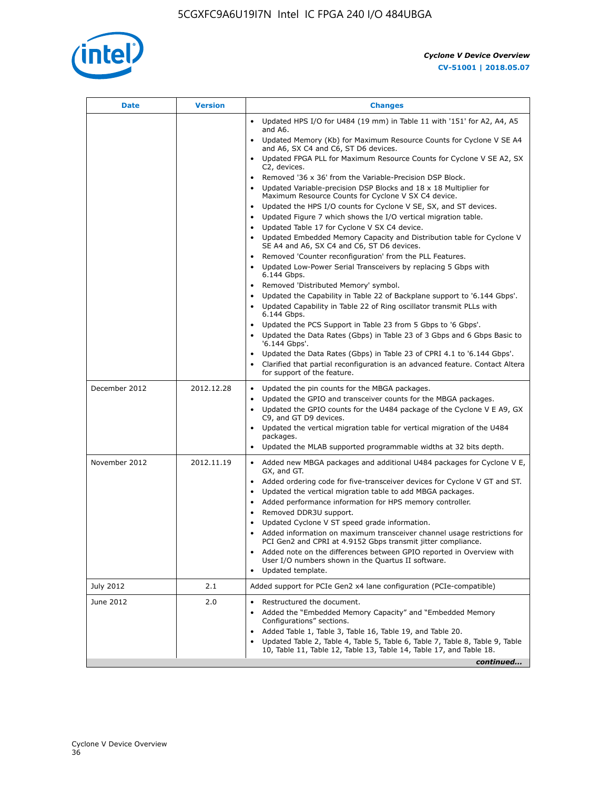

| <b>Date</b>   | <b>Version</b> | <b>Changes</b>                                                                                                                                                                                                                                                                                                                                                                                                                                                                                                                                                                                                                  |
|---------------|----------------|---------------------------------------------------------------------------------------------------------------------------------------------------------------------------------------------------------------------------------------------------------------------------------------------------------------------------------------------------------------------------------------------------------------------------------------------------------------------------------------------------------------------------------------------------------------------------------------------------------------------------------|
|               |                | Updated HPS I/O for U484 (19 mm) in Table 11 with '151' for A2, A4, A5<br>and A6.                                                                                                                                                                                                                                                                                                                                                                                                                                                                                                                                               |
|               |                | Updated Memory (Kb) for Maximum Resource Counts for Cyclone V SE A4<br>and A6, SX C4 and C6, ST D6 devices.                                                                                                                                                                                                                                                                                                                                                                                                                                                                                                                     |
|               |                | Updated FPGA PLL for Maximum Resource Counts for Cyclone V SE A2, SX<br>C2, devices.                                                                                                                                                                                                                                                                                                                                                                                                                                                                                                                                            |
|               |                | Removed '36 x 36' from the Variable-Precision DSP Block.<br>Updated Variable-precision DSP Blocks and $18 \times 18$ Multiplier for<br>Maximum Resource Counts for Cyclone V SX C4 device.                                                                                                                                                                                                                                                                                                                                                                                                                                      |
|               |                | Updated the HPS I/O counts for Cyclone V SE, SX, and ST devices.<br>Updated Figure 7 which shows the I/O vertical migration table.<br>Updated Table 17 for Cyclone V SX C4 device.<br>$\bullet$                                                                                                                                                                                                                                                                                                                                                                                                                                 |
|               |                | • Updated Embedded Memory Capacity and Distribution table for Cyclone V<br>SE A4 and A6, SX C4 and C6, ST D6 devices.                                                                                                                                                                                                                                                                                                                                                                                                                                                                                                           |
|               |                | Removed 'Counter reconfiguration' from the PLL Features.<br>$\bullet$<br>Updated Low-Power Serial Transceivers by replacing 5 Gbps with<br>6.144 Gbps.                                                                                                                                                                                                                                                                                                                                                                                                                                                                          |
|               |                | Removed 'Distributed Memory' symbol.<br>Updated the Capability in Table 22 of Backplane support to '6.144 Gbps'.<br>Updated Capability in Table 22 of Ring oscillator transmit PLLs with                                                                                                                                                                                                                                                                                                                                                                                                                                        |
|               |                | 6.144 Gbps.<br>Updated the PCS Support in Table 23 from 5 Gbps to '6 Gbps'.<br>Updated the Data Rates (Gbps) in Table 23 of 3 Gbps and 6 Gbps Basic to<br>$\bullet$<br>'6.144 Gbps'.                                                                                                                                                                                                                                                                                                                                                                                                                                            |
|               |                | Updated the Data Rates (Gbps) in Table 23 of CPRI 4.1 to '6.144 Gbps'.<br>Clarified that partial reconfiguration is an advanced feature. Contact Altera<br>for support of the feature.                                                                                                                                                                                                                                                                                                                                                                                                                                          |
| December 2012 | 2012.12.28     | Updated the pin counts for the MBGA packages.<br>$\bullet$<br>Updated the GPIO and transceiver counts for the MBGA packages.<br>$\bullet$<br>Updated the GPIO counts for the U484 package of the Cyclone V E A9, GX<br>C9, and GT D9 devices.<br>Updated the vertical migration table for vertical migration of the U484                                                                                                                                                                                                                                                                                                        |
|               |                | packages.<br>Updated the MLAB supported programmable widths at 32 bits depth.                                                                                                                                                                                                                                                                                                                                                                                                                                                                                                                                                   |
| November 2012 | 2012.11.19     | • Added new MBGA packages and additional U484 packages for Cyclone V E,<br>GX, and GT.<br>Added ordering code for five-transceiver devices for Cyclone V GT and ST.<br>$\bullet$<br>Updated the vertical migration table to add MBGA packages.<br>٠<br>Added performance information for HPS memory controller.<br>٠<br>Removed DDR3U support.<br>$\bullet$<br>Updated Cyclone V ST speed grade information.<br>Added information on maximum transceiver channel usage restrictions for<br>PCI Gen2 and CPRI at 4.9152 Gbps transmit jitter compliance.<br>Added note on the differences between GPIO reported in Overview with |
|               |                | User I/O numbers shown in the Quartus II software.<br>Updated template.                                                                                                                                                                                                                                                                                                                                                                                                                                                                                                                                                         |
| July 2012     | 2.1            | Added support for PCIe Gen2 x4 lane configuration (PCIe-compatible)                                                                                                                                                                                                                                                                                                                                                                                                                                                                                                                                                             |
| June 2012     | 2.0            | Restructured the document.<br>Added the "Embedded Memory Capacity" and "Embedded Memory<br>Configurations" sections.<br>Added Table 1, Table 3, Table 16, Table 19, and Table 20.<br>$\bullet$<br>Updated Table 2, Table 4, Table 5, Table 6, Table 7, Table 8, Table 9, Table                                                                                                                                                                                                                                                                                                                                                  |
|               |                | 10, Table 11, Table 12, Table 13, Table 14, Table 17, and Table 18.<br>continued                                                                                                                                                                                                                                                                                                                                                                                                                                                                                                                                                |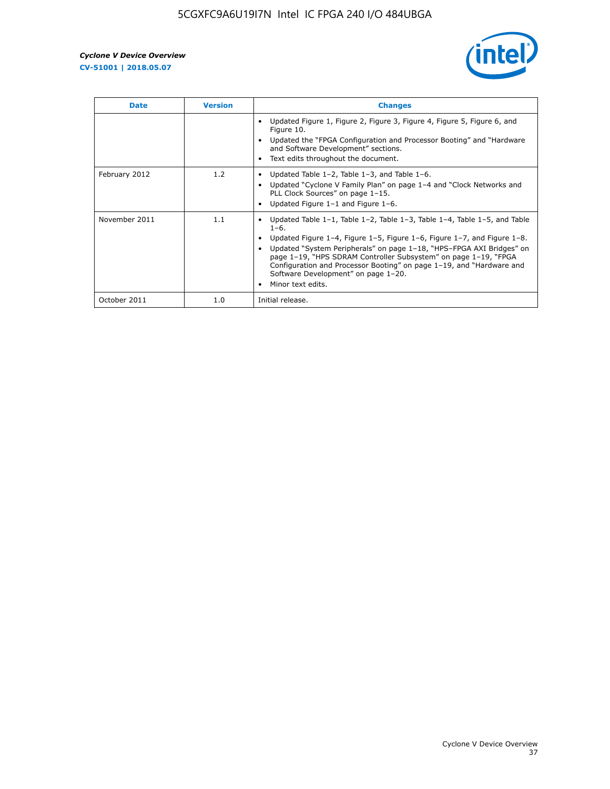

| <b>Date</b>   | <b>Version</b> | <b>Changes</b>                                                                                                                                                                                                                                                                                                                                                                                                                                                |
|---------------|----------------|---------------------------------------------------------------------------------------------------------------------------------------------------------------------------------------------------------------------------------------------------------------------------------------------------------------------------------------------------------------------------------------------------------------------------------------------------------------|
|               |                | Updated Figure 1, Figure 2, Figure 3, Figure 4, Figure 5, Figure 6, and<br>Figure 10.<br>Updated the "FPGA Configuration and Processor Booting" and "Hardware"<br>and Software Development" sections.<br>Text edits throughout the document.                                                                                                                                                                                                                  |
| February 2012 | 1.2            | • Updated Table 1-2, Table 1-3, and Table 1-6.<br>Updated "Cyclone V Family Plan" on page 1-4 and "Clock Networks and<br>PLL Clock Sources" on page 1-15.<br>Updated Figure 1-1 and Figure 1-6.                                                                                                                                                                                                                                                               |
| November 2011 | 1.1            | Updated Table $1-1$ , Table $1-2$ , Table $1-3$ , Table $1-4$ , Table $1-5$ , and Table<br>$1 - 6.$<br>Updated Figure 1–4, Figure 1–5, Figure 1–6, Figure 1–7, and Figure 1–8.<br>Updated "System Peripherals" on page 1-18, "HPS-FPGA AXI Bridges" on<br>page 1-19, "HPS SDRAM Controller Subsystem" on page 1-19, "FPGA<br>Configuration and Processor Booting" on page 1-19, and "Hardware and<br>Software Development" on page 1-20.<br>Minor text edits. |
| October 2011  | 1.0            | Initial release.                                                                                                                                                                                                                                                                                                                                                                                                                                              |